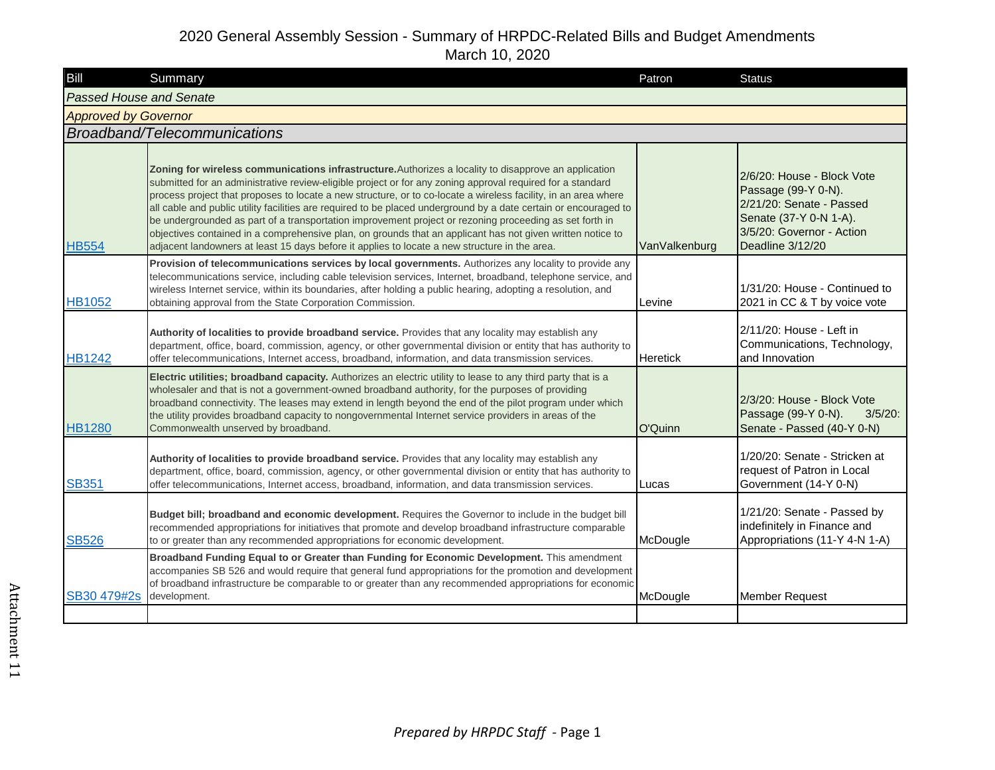| Bill                           | Summary                                                                                                                                                                                                                                                                                                                                                                                                                                                                                                                                                                                                                                                                                                                                                                             | Patron          | <b>Status</b>                                                                                                                                            |
|--------------------------------|-------------------------------------------------------------------------------------------------------------------------------------------------------------------------------------------------------------------------------------------------------------------------------------------------------------------------------------------------------------------------------------------------------------------------------------------------------------------------------------------------------------------------------------------------------------------------------------------------------------------------------------------------------------------------------------------------------------------------------------------------------------------------------------|-----------------|----------------------------------------------------------------------------------------------------------------------------------------------------------|
| <b>Passed House and Senate</b> |                                                                                                                                                                                                                                                                                                                                                                                                                                                                                                                                                                                                                                                                                                                                                                                     |                 |                                                                                                                                                          |
| <b>Approved by Governor</b>    |                                                                                                                                                                                                                                                                                                                                                                                                                                                                                                                                                                                                                                                                                                                                                                                     |                 |                                                                                                                                                          |
|                                | Broadband/Telecommunications                                                                                                                                                                                                                                                                                                                                                                                                                                                                                                                                                                                                                                                                                                                                                        |                 |                                                                                                                                                          |
| <b>HB554</b>                   | Zoning for wireless communications infrastructure. Authorizes a locality to disapprove an application<br>submitted for an administrative review-eligible project or for any zoning approval required for a standard<br>process project that proposes to locate a new structure, or to co-locate a wireless facility, in an area where<br>all cable and public utility facilities are required to be placed underground by a date certain or encouraged to<br>be undergrounded as part of a transportation improvement project or rezoning proceeding as set forth in<br>objectives contained in a comprehensive plan, on grounds that an applicant has not given written notice to<br>adjacent landowners at least 15 days before it applies to locate a new structure in the area. | VanValkenburg   | 2/6/20: House - Block Vote<br>Passage (99-Y 0-N).<br>2/21/20: Senate - Passed<br>Senate (37-Y 0-N 1-A).<br>3/5/20: Governor - Action<br>Deadline 3/12/20 |
| <b>HB1052</b>                  | Provision of telecommunications services by local governments. Authorizes any locality to provide any<br>telecommunications service, including cable television services, Internet, broadband, telephone service, and<br>wireless Internet service, within its boundaries, after holding a public hearing, adopting a resolution, and<br>obtaining approval from the State Corporation Commission.                                                                                                                                                                                                                                                                                                                                                                                  | Levine          | 1/31/20: House - Continued to<br>2021 in CC & T by voice vote                                                                                            |
| <b>HB1242</b>                  | Authority of localities to provide broadband service. Provides that any locality may establish any<br>department, office, board, commission, agency, or other governmental division or entity that has authority to<br>offer telecommunications, Internet access, broadband, information, and data transmission services.                                                                                                                                                                                                                                                                                                                                                                                                                                                           | <b>Heretick</b> | 2/11/20: House - Left in<br>Communications, Technology,<br>and Innovation                                                                                |
| <b>HB1280</b>                  | Electric utilities; broadband capacity. Authorizes an electric utility to lease to any third party that is a<br>wholesaler and that is not a government-owned broadband authority, for the purposes of providing<br>broadband connectivity. The leases may extend in length beyond the end of the pilot program under which<br>the utility provides broadband capacity to nongovernmental Internet service providers in areas of the<br>Commonwealth unserved by broadband.                                                                                                                                                                                                                                                                                                         | O'Quinn         | 2/3/20: House - Block Vote<br>Passage (99-Y 0-N).<br>$3/5/20$ :<br>Senate - Passed (40-Y 0-N)                                                            |
| <b>SB351</b>                   | Authority of localities to provide broadband service. Provides that any locality may establish any<br>department, office, board, commission, agency, or other governmental division or entity that has authority to<br>offer telecommunications, Internet access, broadband, information, and data transmission services.                                                                                                                                                                                                                                                                                                                                                                                                                                                           | Lucas           | 1/20/20: Senate - Stricken at<br>request of Patron in Local<br>Government (14-Y 0-N)                                                                     |
| <b>SB526</b>                   | Budget bill; broadband and economic development. Requires the Governor to include in the budget bill<br>recommended appropriations for initiatives that promote and develop broadband infrastructure comparable<br>to or greater than any recommended appropriations for economic development.                                                                                                                                                                                                                                                                                                                                                                                                                                                                                      | McDougle        | 1/21/20: Senate - Passed by<br>indefinitely in Finance and<br>Appropriations (11-Y 4-N 1-A)                                                              |
| SB30 479#2s                    | Broadband Funding Equal to or Greater than Funding for Economic Development. This amendment<br>accompanies SB 526 and would require that general fund appropriations for the promotion and development<br>of broadband infrastructure be comparable to or greater than any recommended appropriations for economic<br>development.                                                                                                                                                                                                                                                                                                                                                                                                                                                  | McDougle        | <b>Member Request</b>                                                                                                                                    |
|                                |                                                                                                                                                                                                                                                                                                                                                                                                                                                                                                                                                                                                                                                                                                                                                                                     |                 |                                                                                                                                                          |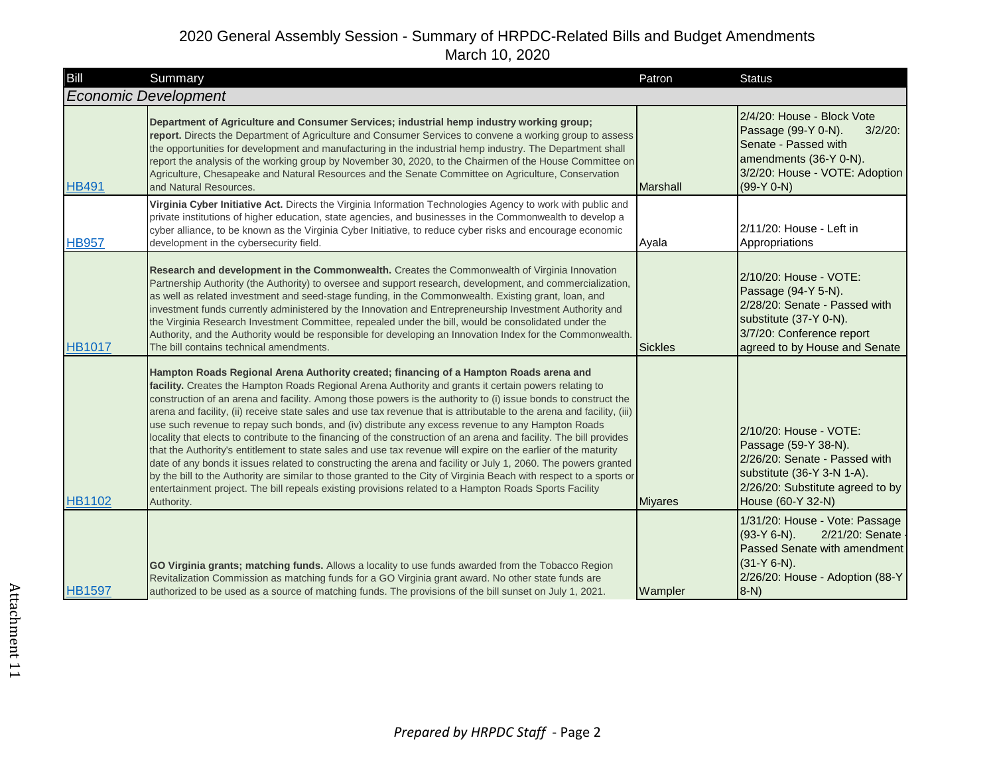| Bill                        | Summary                                                                                                                                                                                                                                                                                                                                                                                                                                                                                                                                                                                                                                                                                                                                                                                                                                                                                                                                                                                                                                                                                                                                                    | Patron         | <b>Status</b>                                                                                                                                                             |
|-----------------------------|------------------------------------------------------------------------------------------------------------------------------------------------------------------------------------------------------------------------------------------------------------------------------------------------------------------------------------------------------------------------------------------------------------------------------------------------------------------------------------------------------------------------------------------------------------------------------------------------------------------------------------------------------------------------------------------------------------------------------------------------------------------------------------------------------------------------------------------------------------------------------------------------------------------------------------------------------------------------------------------------------------------------------------------------------------------------------------------------------------------------------------------------------------|----------------|---------------------------------------------------------------------------------------------------------------------------------------------------------------------------|
| <b>Economic Development</b> |                                                                                                                                                                                                                                                                                                                                                                                                                                                                                                                                                                                                                                                                                                                                                                                                                                                                                                                                                                                                                                                                                                                                                            |                |                                                                                                                                                                           |
| <b>HB491</b>                | Department of Agriculture and Consumer Services; industrial hemp industry working group;<br>report. Directs the Department of Agriculture and Consumer Services to convene a working group to assess<br>the opportunities for development and manufacturing in the industrial hemp industry. The Department shall<br>report the analysis of the working group by November 30, 2020, to the Chairmen of the House Committee on<br>Agriculture, Chesapeake and Natural Resources and the Senate Committee on Agriculture, Conservation<br>and Natural Resources.                                                                                                                                                                                                                                                                                                                                                                                                                                                                                                                                                                                             | Marshall       | 2/4/20: House - Block Vote<br>Passage (99-Y 0-N).<br>$3/2/20$ :<br>Senate - Passed with<br>amendments (36-Y 0-N).<br>3/2/20: House - VOTE: Adoption<br>$(99-Y 0-N)$       |
| <b>HB957</b>                | Virginia Cyber Initiative Act. Directs the Virginia Information Technologies Agency to work with public and<br>private institutions of higher education, state agencies, and businesses in the Commonwealth to develop a<br>cyber alliance, to be known as the Virginia Cyber Initiative, to reduce cyber risks and encourage economic<br>development in the cybersecurity field.                                                                                                                                                                                                                                                                                                                                                                                                                                                                                                                                                                                                                                                                                                                                                                          | Ayala          | 2/11/20: House - Left in<br>Appropriations                                                                                                                                |
| <b>HB1017</b>               | Research and development in the Commonwealth. Creates the Commonwealth of Virginia Innovation<br>Partnership Authority (the Authority) to oversee and support research, development, and commercialization,<br>as well as related investment and seed-stage funding, in the Commonwealth. Existing grant, loan, and<br>investment funds currently administered by the Innovation and Entrepreneurship Investment Authority and<br>the Virginia Research Investment Committee, repealed under the bill, would be consolidated under the<br>Authority, and the Authority would be responsible for developing an Innovation Index for the Commonwealth.<br>The bill contains technical amendments.                                                                                                                                                                                                                                                                                                                                                                                                                                                            | <b>Sickles</b> | 2/10/20: House - VOTE:<br>Passage (94-Y 5-N).<br>2/28/20: Senate - Passed with<br>substitute (37-Y 0-N).<br>3/7/20: Conference report<br>agreed to by House and Senate    |
| <b>HB1102</b>               | Hampton Roads Regional Arena Authority created; financing of a Hampton Roads arena and<br>facility. Creates the Hampton Roads Regional Arena Authority and grants it certain powers relating to<br>construction of an arena and facility. Among those powers is the authority to (i) issue bonds to construct the<br>arena and facility, (ii) receive state sales and use tax revenue that is attributable to the arena and facility, (iii)<br>use such revenue to repay such bonds, and (iv) distribute any excess revenue to any Hampton Roads<br>locality that elects to contribute to the financing of the construction of an arena and facility. The bill provides<br>that the Authority's entitlement to state sales and use tax revenue will expire on the earlier of the maturity<br>date of any bonds it issues related to constructing the arena and facility or July 1, 2060. The powers granted<br>by the bill to the Authority are similar to those granted to the City of Virginia Beach with respect to a sports or<br>entertainment project. The bill repeals existing provisions related to a Hampton Roads Sports Facility<br>Authority. | <b>Miyares</b> | 2/10/20: House - VOTE:<br>Passage (59-Y 38-N).<br>2/26/20: Senate - Passed with<br>substitute (36-Y 3-N 1-A).<br>2/26/20: Substitute agreed to by<br>House (60-Y 32-N)    |
| <b>HB1597</b>               | GO Virginia grants; matching funds. Allows a locality to use funds awarded from the Tobacco Region<br>Revitalization Commission as matching funds for a GO Virginia grant award. No other state funds are<br>authorized to be used as a source of matching funds. The provisions of the bill sunset on July 1, 2021.                                                                                                                                                                                                                                                                                                                                                                                                                                                                                                                                                                                                                                                                                                                                                                                                                                       | Wampler        | 1/31/20: House - Vote: Passage<br>2/21/20: Senate<br>$(93-Y 6-N)$ .<br>Passed Senate with amendment<br>$(31-Y 6-N)$ .<br>2/26/20: House - Adoption (88-Y<br>$ 8-N\rangle$ |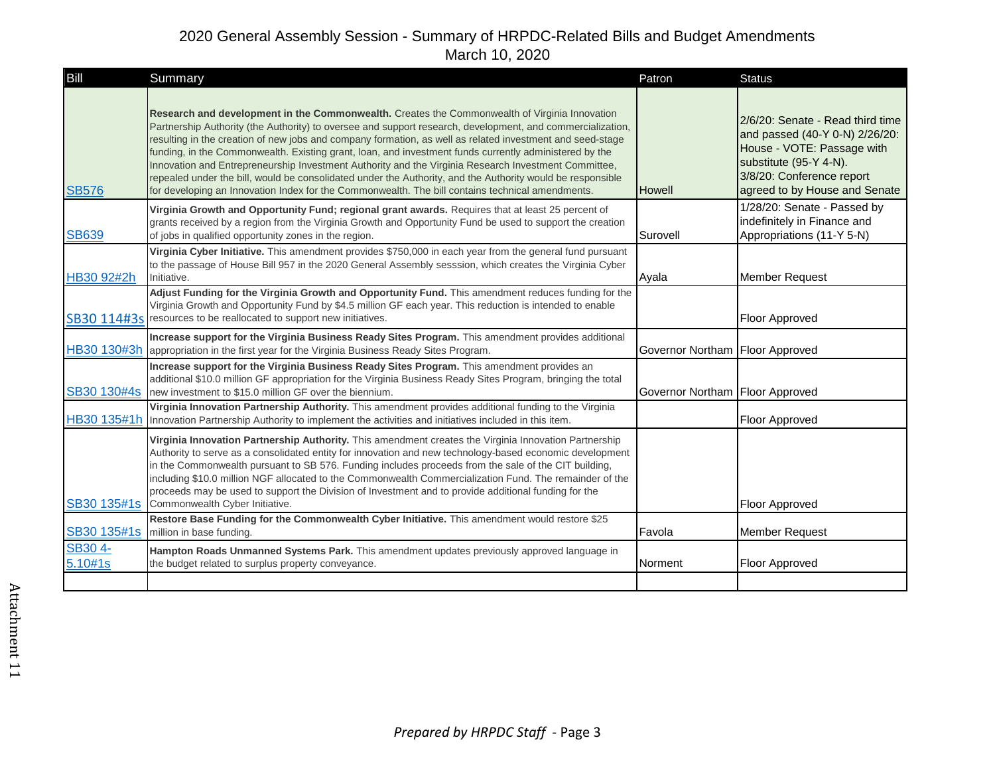| Bill               | Summary                                                                                                                                                                                                                                                                                                                                                                                                                                                                                                                                                                                                                                                                                                                                                      | Patron                          | <b>Status</b>                                                                                                                                                                            |
|--------------------|--------------------------------------------------------------------------------------------------------------------------------------------------------------------------------------------------------------------------------------------------------------------------------------------------------------------------------------------------------------------------------------------------------------------------------------------------------------------------------------------------------------------------------------------------------------------------------------------------------------------------------------------------------------------------------------------------------------------------------------------------------------|---------------------------------|------------------------------------------------------------------------------------------------------------------------------------------------------------------------------------------|
| <b>SB576</b>       | Research and development in the Commonwealth. Creates the Commonwealth of Virginia Innovation<br>Partnership Authority (the Authority) to oversee and support research, development, and commercialization,<br>resulting in the creation of new jobs and company formation, as well as related investment and seed-stage<br>funding, in the Commonwealth. Existing grant, loan, and investment funds currently administered by the<br>Innovation and Entrepreneurship Investment Authority and the Virginia Research Investment Committee,<br>repealed under the bill, would be consolidated under the Authority, and the Authority would be responsible<br>for developing an Innovation Index for the Commonwealth. The bill contains technical amendments. | <b>Howell</b>                   | 2/6/20: Senate - Read third time<br>and passed (40-Y 0-N) 2/26/20:<br>House - VOTE: Passage with<br>substitute (95-Y 4-N).<br>3/8/20: Conference report<br>agreed to by House and Senate |
| <b>SB639</b>       | Virginia Growth and Opportunity Fund; regional grant awards. Requires that at least 25 percent of<br>grants received by a region from the Virginia Growth and Opportunity Fund be used to support the creation<br>of jobs in qualified opportunity zones in the region.                                                                                                                                                                                                                                                                                                                                                                                                                                                                                      | Surovell                        | 1/28/20: Senate - Passed by<br>indefinitely in Finance and<br>Appropriations (11-Y 5-N)                                                                                                  |
| HB30 92#2h         | Virginia Cyber Initiative. This amendment provides \$750,000 in each year from the general fund pursuant<br>to the passage of House Bill 957 in the 2020 General Assembly sesssion, which creates the Virginia Cyber<br>Initiative.                                                                                                                                                                                                                                                                                                                                                                                                                                                                                                                          | Ayala                           | <b>Member Request</b>                                                                                                                                                                    |
|                    | Adjust Funding for the Virginia Growth and Opportunity Fund. This amendment reduces funding for the<br>Virginia Growth and Opportunity Fund by \$4.5 million GF each year. This reduction is intended to enable<br>SB30 114#3s resources to be reallocated to support new initiatives.                                                                                                                                                                                                                                                                                                                                                                                                                                                                       |                                 | <b>Floor Approved</b>                                                                                                                                                                    |
|                    | Increase support for the Virginia Business Ready Sites Program. This amendment provides additional<br>HB30 130#3h appropriation in the first year for the Virginia Business Ready Sites Program.                                                                                                                                                                                                                                                                                                                                                                                                                                                                                                                                                             | Governor Northam Floor Approved |                                                                                                                                                                                          |
|                    | Increase support for the Virginia Business Ready Sites Program. This amendment provides an<br>additional \$10.0 million GF appropriation for the Virginia Business Ready Sites Program, bringing the total<br>SB30 130#4s new investment to \$15.0 million GF over the biennium.                                                                                                                                                                                                                                                                                                                                                                                                                                                                             | Governor Northam Floor Approved |                                                                                                                                                                                          |
|                    | Virginia Innovation Partnership Authority. This amendment provides additional funding to the Virginia<br>HB30 135#1h Innovation Partnership Authority to implement the activities and initiatives included in this item.                                                                                                                                                                                                                                                                                                                                                                                                                                                                                                                                     |                                 | Floor Approved                                                                                                                                                                           |
|                    | Virginia Innovation Partnership Authority. This amendment creates the Virginia Innovation Partnership<br>Authority to serve as a consolidated entity for innovation and new technology-based economic development<br>in the Commonwealth pursuant to SB 576. Funding includes proceeds from the sale of the CIT building,<br>including \$10.0 million NGF allocated to the Commonwealth Commercialization Fund. The remainder of the<br>proceeds may be used to support the Division of Investment and to provide additional funding for the<br>SB30 135#1s Commonwealth Cyber Initiative.                                                                                                                                                                   |                                 | Floor Approved                                                                                                                                                                           |
| SB30 135#1s        | Restore Base Funding for the Commonwealth Cyber Initiative. This amendment would restore \$25<br>million in base funding.                                                                                                                                                                                                                                                                                                                                                                                                                                                                                                                                                                                                                                    | Favola                          | <b>Member Request</b>                                                                                                                                                                    |
| SB30 4-<br>5.10#1s | Hampton Roads Unmanned Systems Park. This amendment updates previously approved language in<br>the budget related to surplus property conveyance.                                                                                                                                                                                                                                                                                                                                                                                                                                                                                                                                                                                                            | Norment                         | Floor Approved                                                                                                                                                                           |
|                    |                                                                                                                                                                                                                                                                                                                                                                                                                                                                                                                                                                                                                                                                                                                                                              |                                 |                                                                                                                                                                                          |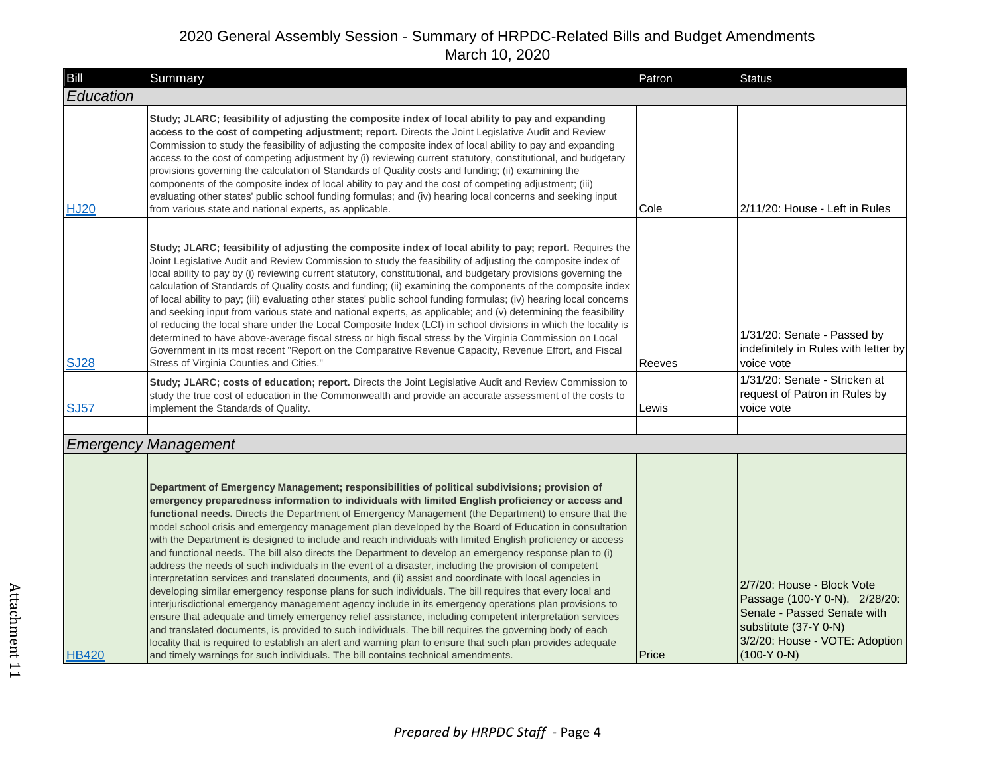| Bill         | Summary                                                                                                                                                                                                                                                                                                                                                                                                                                                                                                                                                                                                                                                                                                                                                                                                                                                                                                                                                                                                                                                                                                                                                                                                                                                                                                                                                                                                                                                                                                           | Patron | <b>Status</b>                                                                                                                                                          |
|--------------|-------------------------------------------------------------------------------------------------------------------------------------------------------------------------------------------------------------------------------------------------------------------------------------------------------------------------------------------------------------------------------------------------------------------------------------------------------------------------------------------------------------------------------------------------------------------------------------------------------------------------------------------------------------------------------------------------------------------------------------------------------------------------------------------------------------------------------------------------------------------------------------------------------------------------------------------------------------------------------------------------------------------------------------------------------------------------------------------------------------------------------------------------------------------------------------------------------------------------------------------------------------------------------------------------------------------------------------------------------------------------------------------------------------------------------------------------------------------------------------------------------------------|--------|------------------------------------------------------------------------------------------------------------------------------------------------------------------------|
| Education    |                                                                                                                                                                                                                                                                                                                                                                                                                                                                                                                                                                                                                                                                                                                                                                                                                                                                                                                                                                                                                                                                                                                                                                                                                                                                                                                                                                                                                                                                                                                   |        |                                                                                                                                                                        |
| <b>HJ20</b>  | Study; JLARC; feasibility of adjusting the composite index of local ability to pay and expanding<br>access to the cost of competing adjustment; report. Directs the Joint Legislative Audit and Review<br>Commission to study the feasibility of adjusting the composite index of local ability to pay and expanding<br>access to the cost of competing adjustment by (i) reviewing current statutory, constitutional, and budgetary<br>provisions governing the calculation of Standards of Quality costs and funding; (ii) examining the<br>components of the composite index of local ability to pay and the cost of competing adjustment; (iii)<br>evaluating other states' public school funding formulas; and (iv) hearing local concerns and seeking input<br>from various state and national experts, as applicable.                                                                                                                                                                                                                                                                                                                                                                                                                                                                                                                                                                                                                                                                                      | Cole   | 2/11/20: House - Left in Rules                                                                                                                                         |
| <b>SJ28</b>  | Study; JLARC; feasibility of adjusting the composite index of local ability to pay; report. Requires the<br>Joint Legislative Audit and Review Commission to study the feasibility of adjusting the composite index of<br>local ability to pay by (i) reviewing current statutory, constitutional, and budgetary provisions governing the<br>calculation of Standards of Quality costs and funding; (ii) examining the components of the composite index<br>of local ability to pay; (iii) evaluating other states' public school funding formulas; (iv) hearing local concerns<br>and seeking input from various state and national experts, as applicable; and (v) determining the feasibility<br>of reducing the local share under the Local Composite Index (LCI) in school divisions in which the locality is<br>determined to have above-average fiscal stress or high fiscal stress by the Virginia Commission on Local<br>Government in its most recent "Report on the Comparative Revenue Capacity, Revenue Effort, and Fiscal<br>Stress of Virginia Counties and Cities."                                                                                                                                                                                                                                                                                                                                                                                                                               | Reeves | 1/31/20: Senate - Passed by<br>indefinitely in Rules with letter by<br>voice vote                                                                                      |
| <b>SJ57</b>  | Study; JLARC; costs of education; report. Directs the Joint Legislative Audit and Review Commission to<br>study the true cost of education in the Commonwealth and provide an accurate assessment of the costs to<br>implement the Standards of Quality.                                                                                                                                                                                                                                                                                                                                                                                                                                                                                                                                                                                                                                                                                                                                                                                                                                                                                                                                                                                                                                                                                                                                                                                                                                                          | Lewis  | 1/31/20: Senate - Stricken at<br>request of Patron in Rules by<br>voice vote                                                                                           |
|              |                                                                                                                                                                                                                                                                                                                                                                                                                                                                                                                                                                                                                                                                                                                                                                                                                                                                                                                                                                                                                                                                                                                                                                                                                                                                                                                                                                                                                                                                                                                   |        |                                                                                                                                                                        |
|              | <b>Emergency Management</b>                                                                                                                                                                                                                                                                                                                                                                                                                                                                                                                                                                                                                                                                                                                                                                                                                                                                                                                                                                                                                                                                                                                                                                                                                                                                                                                                                                                                                                                                                       |        |                                                                                                                                                                        |
| <b>HB420</b> | Department of Emergency Management; responsibilities of political subdivisions; provision of<br>emergency preparedness information to individuals with limited English proficiency or access and<br>functional needs. Directs the Department of Emergency Management (the Department) to ensure that the<br>model school crisis and emergency management plan developed by the Board of Education in consultation<br>with the Department is designed to include and reach individuals with limited English proficiency or access<br>and functional needs. The bill also directs the Department to develop an emergency response plan to (i)<br>address the needs of such individuals in the event of a disaster, including the provision of competent<br>interpretation services and translated documents, and (ii) assist and coordinate with local agencies in<br>developing similar emergency response plans for such individuals. The bill requires that every local and<br>interjurisdictional emergency management agency include in its emergency operations plan provisions to<br>ensure that adequate and timely emergency relief assistance, including competent interpretation services<br>and translated documents, is provided to such individuals. The bill requires the governing body of each<br>locality that is required to establish an alert and warning plan to ensure that such plan provides adequate<br>and timely warnings for such individuals. The bill contains technical amendments. | Price  | 2/7/20: House - Block Vote<br>Passage (100-Y 0-N). 2/28/20:<br>Senate - Passed Senate with<br>substitute (37-Y 0-N)<br>3/2/20: House - VOTE: Adoption<br>$(100-Y 0-N)$ |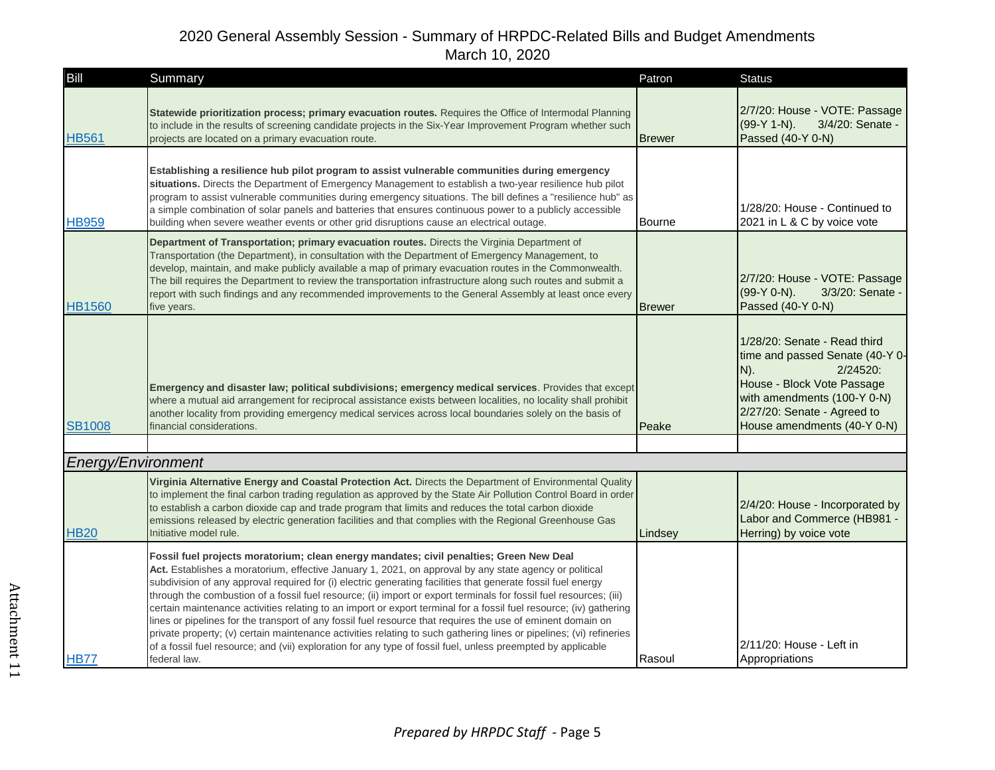| Bill               | Summary                                                                                                                                                                                                                                                                                                                                                                                                                                                                                                                                                                                                                                                                                                                                                                                                                                                                                                                             | Patron        | <b>Status</b>                                                                                                                                                                                                    |
|--------------------|-------------------------------------------------------------------------------------------------------------------------------------------------------------------------------------------------------------------------------------------------------------------------------------------------------------------------------------------------------------------------------------------------------------------------------------------------------------------------------------------------------------------------------------------------------------------------------------------------------------------------------------------------------------------------------------------------------------------------------------------------------------------------------------------------------------------------------------------------------------------------------------------------------------------------------------|---------------|------------------------------------------------------------------------------------------------------------------------------------------------------------------------------------------------------------------|
| <b>HB561</b>       | Statewide prioritization process; primary evacuation routes. Requires the Office of Intermodal Planning<br>to include in the results of screening candidate projects in the Six-Year Improvement Program whether such<br>projects are located on a primary evacuation route.                                                                                                                                                                                                                                                                                                                                                                                                                                                                                                                                                                                                                                                        | <b>Brewer</b> | 2/7/20: House - VOTE: Passage<br>(99-Y 1-N).<br>3/4/20: Senate -<br>Passed (40-Y 0-N)                                                                                                                            |
| <b>HB959</b>       | Establishing a resilience hub pilot program to assist vulnerable communities during emergency<br>situations. Directs the Department of Emergency Management to establish a two-year resilience hub pilot<br>program to assist vulnerable communities during emergency situations. The bill defines a "resilience hub" as<br>a simple combination of solar panels and batteries that ensures continuous power to a publicly accessible<br>building when severe weather events or other grid disruptions cause an electrical outage.                                                                                                                                                                                                                                                                                                                                                                                                  | Bourne        | 1/28/20: House - Continued to<br>2021 in L & C by voice vote                                                                                                                                                     |
| <b>HB1560</b>      | Department of Transportation; primary evacuation routes. Directs the Virginia Department of<br>Transportation (the Department), in consultation with the Department of Emergency Management, to<br>develop, maintain, and make publicly available a map of primary evacuation routes in the Commonwealth.<br>The bill requires the Department to review the transportation infrastructure along such routes and submit a<br>report with such findings and any recommended improvements to the General Assembly at least once every<br>five years.                                                                                                                                                                                                                                                                                                                                                                                   | <b>Brewer</b> | 2/7/20: House - VOTE: Passage<br>$(99-Y 0-N)$ .<br>3/3/20: Senate -<br>Passed (40-Y 0-N)                                                                                                                         |
| <b>SB1008</b>      | Emergency and disaster law; political subdivisions; emergency medical services. Provides that except<br>where a mutual aid arrangement for reciprocal assistance exists between localities, no locality shall prohibit<br>another locality from providing emergency medical services across local boundaries solely on the basis of<br>financial considerations.                                                                                                                                                                                                                                                                                                                                                                                                                                                                                                                                                                    | Peake         | 1/28/20: Senate - Read third<br>time and passed Senate (40-Y 0-<br>$N$ ).<br>2/24520:<br>House - Block Vote Passage<br>with amendments (100-Y 0-N)<br>2/27/20: Senate - Agreed to<br>House amendments (40-Y 0-N) |
|                    |                                                                                                                                                                                                                                                                                                                                                                                                                                                                                                                                                                                                                                                                                                                                                                                                                                                                                                                                     |               |                                                                                                                                                                                                                  |
| Energy/Environment |                                                                                                                                                                                                                                                                                                                                                                                                                                                                                                                                                                                                                                                                                                                                                                                                                                                                                                                                     |               |                                                                                                                                                                                                                  |
| <b>HB20</b>        | Virginia Alternative Energy and Coastal Protection Act. Directs the Department of Environmental Quality<br>to implement the final carbon trading regulation as approved by the State Air Pollution Control Board in order<br>to establish a carbon dioxide cap and trade program that limits and reduces the total carbon dioxide<br>emissions released by electric generation facilities and that complies with the Regional Greenhouse Gas<br>Initiative model rule.                                                                                                                                                                                                                                                                                                                                                                                                                                                              | Lindsey       | 2/4/20: House - Incorporated by<br>Labor and Commerce (HB981 -<br>Herring) by voice vote                                                                                                                         |
| <b>HB77</b>        | Fossil fuel projects moratorium; clean energy mandates; civil penalties; Green New Deal<br>Act. Establishes a moratorium, effective January 1, 2021, on approval by any state agency or political<br>subdivision of any approval required for (i) electric generating facilities that generate fossil fuel energy<br>through the combustion of a fossil fuel resource; (ii) import or export terminals for fossil fuel resources; (iii)<br>certain maintenance activities relating to an import or export terminal for a fossil fuel resource; (iv) gathering<br>lines or pipelines for the transport of any fossil fuel resource that requires the use of eminent domain on<br>private property; (v) certain maintenance activities relating to such gathering lines or pipelines; (vi) refineries<br>of a fossil fuel resource; and (vii) exploration for any type of fossil fuel, unless preempted by applicable<br>federal law. | Rasoul        | 2/11/20: House - Left in<br>Appropriations                                                                                                                                                                       |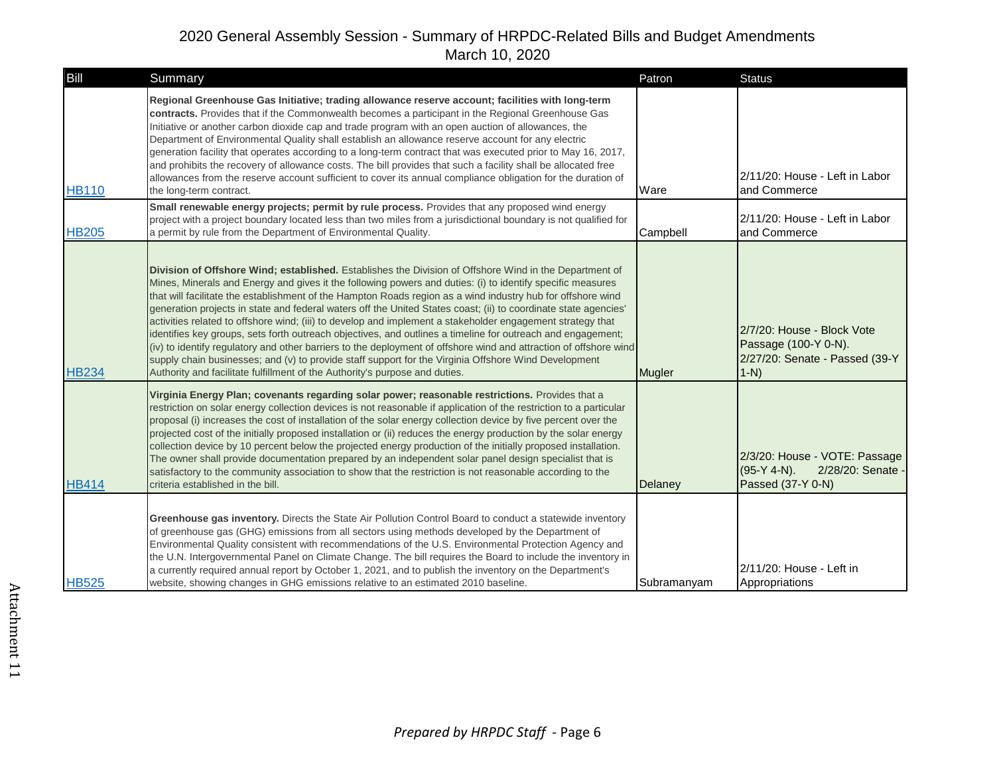| Bill         | Summary                                                                                                                                                                                                                                                                                                                                                                                                                                                                                                                                                                                                                                                                                                                                                                                                                                                                                                                                                                                         | Patron      | <b>Status</b>                                                                                   |
|--------------|-------------------------------------------------------------------------------------------------------------------------------------------------------------------------------------------------------------------------------------------------------------------------------------------------------------------------------------------------------------------------------------------------------------------------------------------------------------------------------------------------------------------------------------------------------------------------------------------------------------------------------------------------------------------------------------------------------------------------------------------------------------------------------------------------------------------------------------------------------------------------------------------------------------------------------------------------------------------------------------------------|-------------|-------------------------------------------------------------------------------------------------|
| <b>HB110</b> | Regional Greenhouse Gas Initiative; trading allowance reserve account; facilities with long-term<br>contracts. Provides that if the Commonwealth becomes a participant in the Regional Greenhouse Gas<br>Initiative or another carbon dioxide cap and trade program with an open auction of allowances, the<br>Department of Environmental Quality shall establish an allowance reserve account for any electric<br>generation facility that operates according to a long-term contract that was executed prior to May 16, 2017,<br>and prohibits the recovery of allowance costs. The bill provides that such a facility shall be allocated free<br>allowances from the reserve account sufficient to cover its annual compliance obligation for the duration of<br>the long-term contract.                                                                                                                                                                                                    | Ware        | 2/11/20: House - Left in Labor<br>and Commerce                                                  |
| <b>HB205</b> | Small renewable energy projects; permit by rule process. Provides that any proposed wind energy<br>project with a project boundary located less than two miles from a jurisdictional boundary is not qualified for<br>a permit by rule from the Department of Environmental Quality.                                                                                                                                                                                                                                                                                                                                                                                                                                                                                                                                                                                                                                                                                                            | Campbell    | 2/11/20: House - Left in Labor<br>and Commerce                                                  |
| <b>HB234</b> | Division of Offshore Wind; established. Establishes the Division of Offshore Wind in the Department of<br>Mines, Minerals and Energy and gives it the following powers and duties: (i) to identify specific measures<br>that will facilitate the establishment of the Hampton Roads region as a wind industry hub for offshore wind<br>generation projects in state and federal waters off the United States coast; (ii) to coordinate state agencies'<br>activities related to offshore wind; (iii) to develop and implement a stakeholder engagement strategy that<br>identifies key groups, sets forth outreach objectives, and outlines a timeline for outreach and engagement;<br>(iv) to identify regulatory and other barriers to the deployment of offshore wind and attraction of offshore wind<br>supply chain businesses; and (v) to provide staff support for the Virginia Offshore Wind Development<br>Authority and facilitate fulfillment of the Authority's purpose and duties. | Mugler      | 2/7/20: House - Block Vote<br>Passage (100-Y 0-N).<br>2/27/20: Senate - Passed (39-Y<br>$1-N$ ) |
| <b>HB414</b> | Virginia Energy Plan; covenants regarding solar power; reasonable restrictions. Provides that a<br>restriction on solar energy collection devices is not reasonable if application of the restriction to a particular<br>proposal (i) increases the cost of installation of the solar energy collection device by five percent over the<br>projected cost of the initially proposed installation or (ii) reduces the energy production by the solar energy<br>collection device by 10 percent below the projected energy production of the initially proposed installation.<br>The owner shall provide documentation prepared by an independent solar panel design specialist that is<br>satisfactory to the community association to show that the restriction is not reasonable according to the<br>criteria established in the bill.                                                                                                                                                         | Delaney     | 2/3/20: House - VOTE: Passage<br>$(95-Y 4-N)$ .<br>2/28/20: Senate<br>Passed (37-Y 0-N)         |
| <b>HB525</b> | Greenhouse gas inventory. Directs the State Air Pollution Control Board to conduct a statewide inventory<br>of greenhouse gas (GHG) emissions from all sectors using methods developed by the Department of<br>Environmental Quality consistent with recommendations of the U.S. Environmental Protection Agency and<br>the U.N. Intergovernmental Panel on Climate Change. The bill requires the Board to include the inventory in<br>a currently required annual report by October 1, 2021, and to publish the inventory on the Department's<br>website, showing changes in GHG emissions relative to an estimated 2010 baseline.                                                                                                                                                                                                                                                                                                                                                             | Subramanyam | 2/11/20: House - Left in<br>Appropriations                                                      |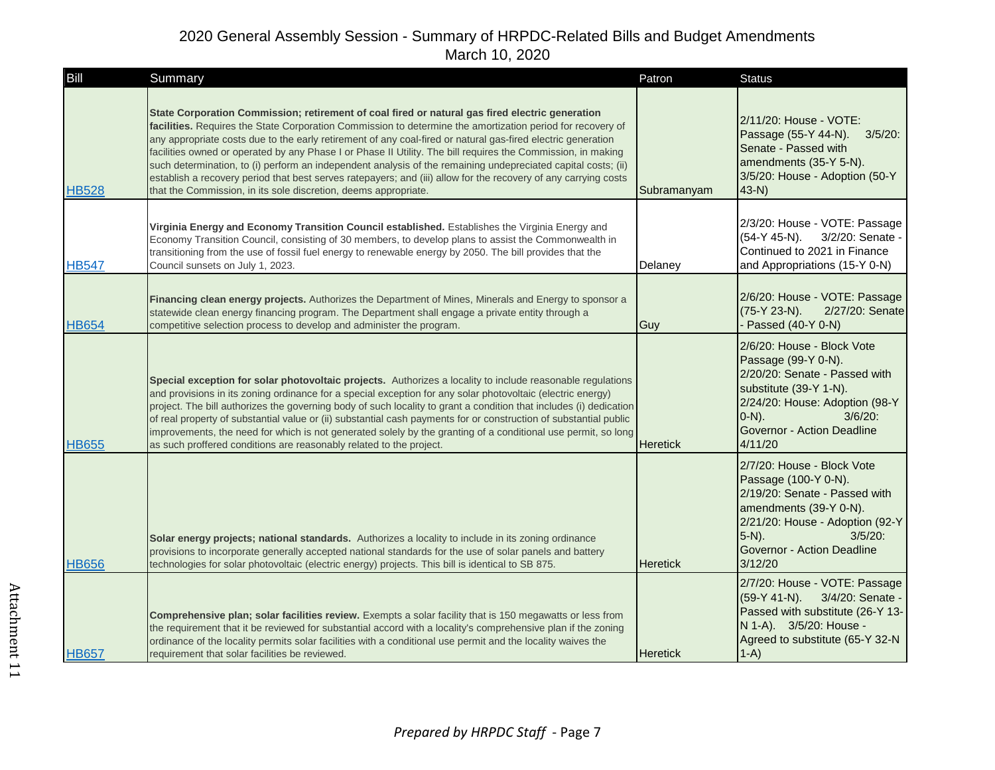| Bill         | Summary                                                                                                                                                                                                                                                                                                                                                                                                                                                                                                                                                                                                                                                                                                                                              | Patron          | <b>Status</b>                                                                                                                                                                                                        |
|--------------|------------------------------------------------------------------------------------------------------------------------------------------------------------------------------------------------------------------------------------------------------------------------------------------------------------------------------------------------------------------------------------------------------------------------------------------------------------------------------------------------------------------------------------------------------------------------------------------------------------------------------------------------------------------------------------------------------------------------------------------------------|-----------------|----------------------------------------------------------------------------------------------------------------------------------------------------------------------------------------------------------------------|
| <b>HB528</b> | State Corporation Commission; retirement of coal fired or natural gas fired electric generation<br>facilities. Requires the State Corporation Commission to determine the amortization period for recovery of<br>any appropriate costs due to the early retirement of any coal-fired or natural gas-fired electric generation<br>facilities owned or operated by any Phase I or Phase II Utility. The bill requires the Commission, in making<br>such determination, to (i) perform an independent analysis of the remaining undepreciated capital costs; (ii)<br>establish a recovery period that best serves ratepayers; and (iii) allow for the recovery of any carrying costs<br>that the Commission, in its sole discretion, deems appropriate. | Subramanyam     | 2/11/20: House - VOTE:<br>Passage (55-Y 44-N).<br>$3/5/20$ :<br>Senate - Passed with<br>amendments (35-Y 5-N).<br>3/5/20: House - Adoption (50-Y<br>$43-N$                                                           |
| <b>HB547</b> | Virginia Energy and Economy Transition Council established. Establishes the Virginia Energy and<br>Economy Transition Council, consisting of 30 members, to develop plans to assist the Commonwealth in<br>transitioning from the use of fossil fuel energy to renewable energy by 2050. The bill provides that the<br>Council sunsets on July 1, 2023.                                                                                                                                                                                                                                                                                                                                                                                              | Delaney         | 2/3/20: House - VOTE: Passage<br>$(54-Y 45-N)$ .<br>3/2/20: Senate -<br>Continued to 2021 in Finance<br>and Appropriations (15-Y 0-N)                                                                                |
| <b>HB654</b> | Financing clean energy projects. Authorizes the Department of Mines, Minerals and Energy to sponsor a<br>statewide clean energy financing program. The Department shall engage a private entity through a<br>competitive selection process to develop and administer the program.                                                                                                                                                                                                                                                                                                                                                                                                                                                                    | Guy             | 2/6/20: House - VOTE: Passage<br>(75-Y 23-N).<br>2/27/20: Senate<br>- Passed (40-Y 0-N)                                                                                                                              |
| <b>HB655</b> | Special exception for solar photovoltaic projects. Authorizes a locality to include reasonable regulations<br>and provisions in its zoning ordinance for a special exception for any solar photovoltaic (electric energy)<br>project. The bill authorizes the governing body of such locality to grant a condition that includes (i) dedication<br>of real property of substantial value or (ii) substantial cash payments for or construction of substantial public<br>improvements, the need for which is not generated solely by the granting of a conditional use permit, so long<br>as such proffered conditions are reasonably related to the project.                                                                                         | <b>Heretick</b> | 2/6/20: House - Block Vote<br>Passage (99-Y 0-N).<br>2/20/20: Senate - Passed with<br>substitute (39-Y 1-N).<br>2/24/20: House: Adoption (98-Y<br>$3/6/20$ :<br>$O-N$ ).<br>Governor - Action Deadline<br>4/11/20    |
| <b>HB656</b> | <b>Solar energy projects; national standards.</b> Authorizes a locality to include in its zoning ordinance<br>provisions to incorporate generally accepted national standards for the use of solar panels and battery<br>technologies for solar photovoltaic (electric energy) projects. This bill is identical to SB 875.                                                                                                                                                                                                                                                                                                                                                                                                                           | <b>Heretick</b> | 2/7/20: House - Block Vote<br>Passage (100-Y 0-N).<br>2/19/20: Senate - Passed with<br>amendments (39-Y 0-N).<br>2/21/20: House - Adoption (92-Y)<br>$5-N$ ).<br>$3/5/20$ :<br>Governor - Action Deadline<br>3/12/20 |
| <b>HB657</b> | Comprehensive plan; solar facilities review. Exempts a solar facility that is 150 megawatts or less from<br>the requirement that it be reviewed for substantial accord with a locality's comprehensive plan if the zoning<br>ordinance of the locality permits solar facilities with a conditional use permit and the locality waives the<br>requirement that solar facilities be reviewed.                                                                                                                                                                                                                                                                                                                                                          | <b>Heretick</b> | 2/7/20: House - VOTE: Passage<br>$(59-Y 41-N)$ .<br>3/4/20: Senate -<br>Passed with substitute (26-Y 13-<br>N 1-A). 3/5/20: House -<br>Agreed to substitute (65-Y 32-N<br>$1-A$                                      |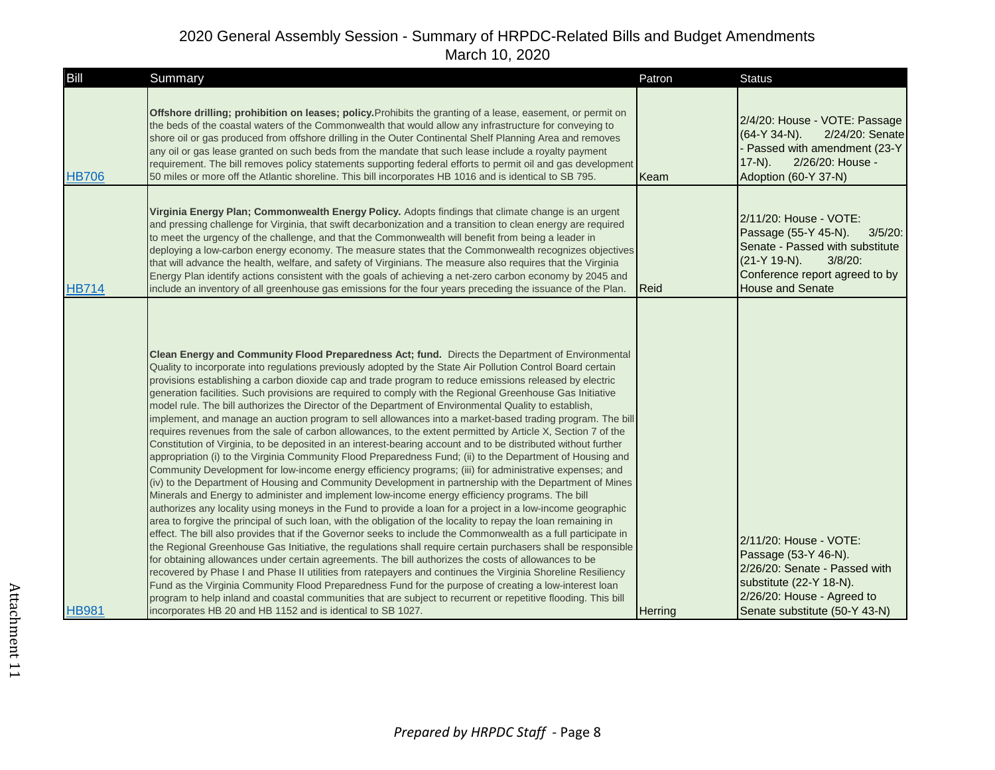| Bill         | Summary                                                                                                                                                                                                                                                                                                                                                                                                                                                                                                                                                                                                                                                                                                                                                                                                                                                                                                                                                                                                                                                                                                                                                                                                                                                                                                                                                                                                                                                                                                                                                                                                                                                                                                                                                                                                                                                                                                                                                                                                                                                                                                                                                                                                                                                                                                                      | Patron  | <b>Status</b>                                                                                                                                                                              |
|--------------|------------------------------------------------------------------------------------------------------------------------------------------------------------------------------------------------------------------------------------------------------------------------------------------------------------------------------------------------------------------------------------------------------------------------------------------------------------------------------------------------------------------------------------------------------------------------------------------------------------------------------------------------------------------------------------------------------------------------------------------------------------------------------------------------------------------------------------------------------------------------------------------------------------------------------------------------------------------------------------------------------------------------------------------------------------------------------------------------------------------------------------------------------------------------------------------------------------------------------------------------------------------------------------------------------------------------------------------------------------------------------------------------------------------------------------------------------------------------------------------------------------------------------------------------------------------------------------------------------------------------------------------------------------------------------------------------------------------------------------------------------------------------------------------------------------------------------------------------------------------------------------------------------------------------------------------------------------------------------------------------------------------------------------------------------------------------------------------------------------------------------------------------------------------------------------------------------------------------------------------------------------------------------------------------------------------------------|---------|--------------------------------------------------------------------------------------------------------------------------------------------------------------------------------------------|
| <b>HB706</b> | Offshore drilling; prohibition on leases; policy. Prohibits the granting of a lease, easement, or permit on<br>the beds of the coastal waters of the Commonwealth that would allow any infrastructure for conveying to<br>shore oil or gas produced from offshore drilling in the Outer Continental Shelf Planning Area and removes<br>any oil or gas lease granted on such beds from the mandate that such lease include a royalty payment<br>requirement. The bill removes policy statements supporting federal efforts to permit oil and gas development<br>50 miles or more off the Atlantic shoreline. This bill incorporates HB 1016 and is identical to SB 795.                                                                                                                                                                                                                                                                                                                                                                                                                                                                                                                                                                                                                                                                                                                                                                                                                                                                                                                                                                                                                                                                                                                                                                                                                                                                                                                                                                                                                                                                                                                                                                                                                                                       | Keam    | 2/4/20: House - VOTE: Passage<br>$(64-Y 34-N)$ .<br>2/24/20: Senate<br>Passed with amendment (23-Y<br>2/26/20: House -<br>$17-N$ ).<br>Adoption (60-Y 37-N)                                |
| <b>HB714</b> | Virginia Energy Plan; Commonwealth Energy Policy. Adopts findings that climate change is an urgent<br>and pressing challenge for Virginia, that swift decarbonization and a transition to clean energy are required<br>to meet the urgency of the challenge, and that the Commonwealth will benefit from being a leader in<br>deploying a low-carbon energy economy. The measure states that the Commonwealth recognizes objectives<br>that will advance the health, welfare, and safety of Virginians. The measure also requires that the Virginia<br>Energy Plan identify actions consistent with the goals of achieving a net-zero carbon economy by 2045 and<br>include an inventory of all greenhouse gas emissions for the four years preceding the issuance of the Plan.                                                                                                                                                                                                                                                                                                                                                                                                                                                                                                                                                                                                                                                                                                                                                                                                                                                                                                                                                                                                                                                                                                                                                                                                                                                                                                                                                                                                                                                                                                                                              | Reid    | 2/11/20: House - VOTE:<br>Passage (55-Y 45-N).<br>$3/5/20$ :<br>Senate - Passed with substitute<br>$3/8/20$ :<br>(21-Y 19-N).<br>Conference report agreed to by<br><b>House and Senate</b> |
| <b>HB981</b> | Clean Energy and Community Flood Preparedness Act; fund. Directs the Department of Environmental<br>Quality to incorporate into regulations previously adopted by the State Air Pollution Control Board certain<br>provisions establishing a carbon dioxide cap and trade program to reduce emissions released by electric<br>generation facilities. Such provisions are required to comply with the Regional Greenhouse Gas Initiative<br>model rule. The bill authorizes the Director of the Department of Environmental Quality to establish,<br>implement, and manage an auction program to sell allowances into a market-based trading program. The bill<br>requires revenues from the sale of carbon allowances, to the extent permitted by Article X, Section 7 of the<br>Constitution of Virginia, to be deposited in an interest-bearing account and to be distributed without further<br>appropriation (i) to the Virginia Community Flood Preparedness Fund; (ii) to the Department of Housing and<br>Community Development for low-income energy efficiency programs; (iii) for administrative expenses; and<br>(iv) to the Department of Housing and Community Development in partnership with the Department of Mines<br>Minerals and Energy to administer and implement low-income energy efficiency programs. The bill<br>authorizes any locality using moneys in the Fund to provide a loan for a project in a low-income geographic<br>area to forgive the principal of such loan, with the obligation of the locality to repay the loan remaining in<br>effect. The bill also provides that if the Governor seeks to include the Commonwealth as a full participate in<br>the Regional Greenhouse Gas Initiative, the regulations shall require certain purchasers shall be responsible<br>for obtaining allowances under certain agreements. The bill authorizes the costs of allowances to be<br>recovered by Phase I and Phase II utilities from ratepayers and continues the Virginia Shoreline Resiliency<br>Fund as the Virginia Community Flood Preparedness Fund for the purpose of creating a low-interest loan<br>program to help inland and coastal communities that are subject to recurrent or repetitive flooding. This bill<br>incorporates HB 20 and HB 1152 and is identical to SB 1027. | Herring | 2/11/20: House - VOTE:<br>Passage (53-Y 46-N).<br>2/26/20: Senate - Passed with<br>substitute (22-Y 18-N).<br>2/26/20: House - Agreed to<br>Senate substitute (50-Y 43-N)                  |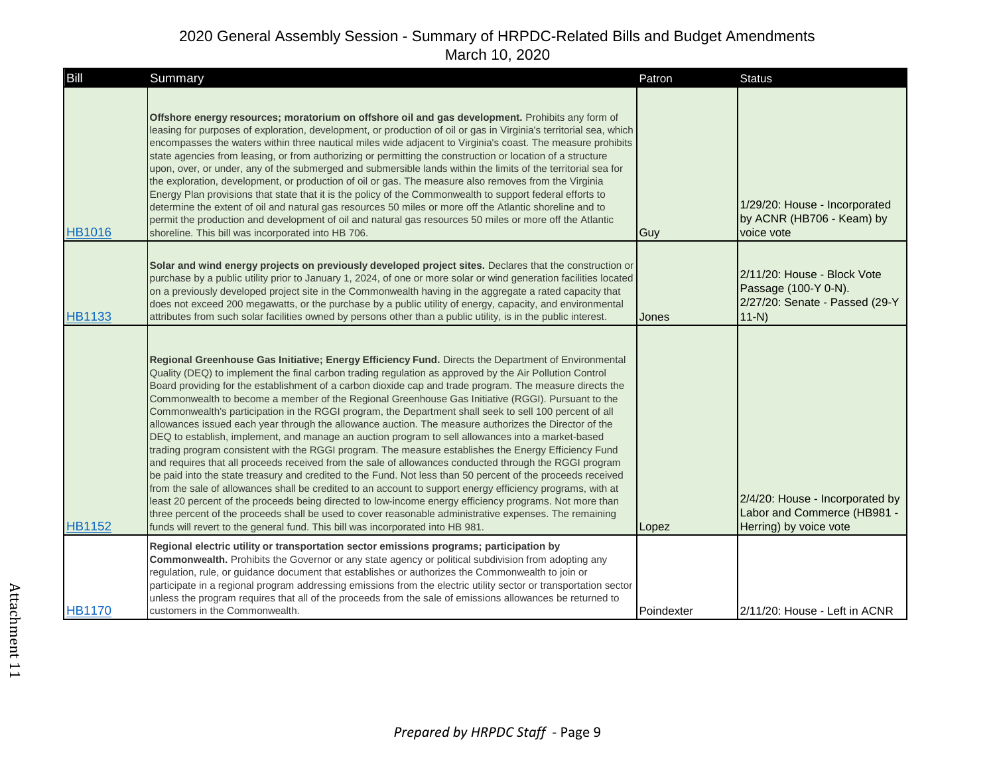| Bill          | Summary                                                                                                                                                                                                                                                                                                                                                                                                                                                                                                                                                                                                                                                                                                                                                                                                                                                                                                                                                                                                                                                                                                                                                                                                                                                                                                                                                                                                                                                                                                       | Patron     | <b>Status</b>                                                                                   |
|---------------|---------------------------------------------------------------------------------------------------------------------------------------------------------------------------------------------------------------------------------------------------------------------------------------------------------------------------------------------------------------------------------------------------------------------------------------------------------------------------------------------------------------------------------------------------------------------------------------------------------------------------------------------------------------------------------------------------------------------------------------------------------------------------------------------------------------------------------------------------------------------------------------------------------------------------------------------------------------------------------------------------------------------------------------------------------------------------------------------------------------------------------------------------------------------------------------------------------------------------------------------------------------------------------------------------------------------------------------------------------------------------------------------------------------------------------------------------------------------------------------------------------------|------------|-------------------------------------------------------------------------------------------------|
| <b>HB1016</b> | Offshore energy resources; moratorium on offshore oil and gas development. Prohibits any form of<br>leasing for purposes of exploration, development, or production of oil or gas in Virginia's territorial sea, which<br>encompasses the waters within three nautical miles wide adjacent to Virginia's coast. The measure prohibits<br>state agencies from leasing, or from authorizing or permitting the construction or location of a structure<br>upon, over, or under, any of the submerged and submersible lands within the limits of the territorial sea for<br>the exploration, development, or production of oil or gas. The measure also removes from the Virginia<br>Energy Plan provisions that state that it is the policy of the Commonwealth to support federal efforts to<br>determine the extent of oil and natural gas resources 50 miles or more off the Atlantic shoreline and to<br>permit the production and development of oil and natural gas resources 50 miles or more off the Atlantic<br>shoreline. This bill was incorporated into HB 706.                                                                                                                                                                                                                                                                                                                                                                                                                                      | Guy        | 1/29/20: House - Incorporated<br>by ACNR (HB706 - Keam) by<br>voice vote                        |
| <b>HB1133</b> | Solar and wind energy projects on previously developed project sites. Declares that the construction or<br>purchase by a public utility prior to January 1, 2024, of one or more solar or wind generation facilities located<br>on a previously developed project site in the Commonwealth having in the aggregate a rated capacity that<br>does not exceed 200 megawatts, or the purchase by a public utility of energy, capacity, and environmental<br>attributes from such solar facilities owned by persons other than a public utility, is in the public interest.                                                                                                                                                                                                                                                                                                                                                                                                                                                                                                                                                                                                                                                                                                                                                                                                                                                                                                                                       | Jones      | 2/11/20: House - Block Vote<br>Passage (100-Y 0-N).<br>2/27/20: Senate - Passed (29-Y<br>$11-N$ |
| <b>HB1152</b> | Regional Greenhouse Gas Initiative; Energy Efficiency Fund. Directs the Department of Environmental<br>Quality (DEQ) to implement the final carbon trading regulation as approved by the Air Pollution Control<br>Board providing for the establishment of a carbon dioxide cap and trade program. The measure directs the<br>Commonwealth to become a member of the Regional Greenhouse Gas Initiative (RGGI). Pursuant to the<br>Commonwealth's participation in the RGGI program, the Department shall seek to sell 100 percent of all<br>allowances issued each year through the allowance auction. The measure authorizes the Director of the<br>DEQ to establish, implement, and manage an auction program to sell allowances into a market-based<br>trading program consistent with the RGGI program. The measure establishes the Energy Efficiency Fund<br>and requires that all proceeds received from the sale of allowances conducted through the RGGI program<br>be paid into the state treasury and credited to the Fund. Not less than 50 percent of the proceeds received<br>from the sale of allowances shall be credited to an account to support energy efficiency programs, with at<br>least 20 percent of the proceeds being directed to low-income energy efficiency programs. Not more than<br>three percent of the proceeds shall be used to cover reasonable administrative expenses. The remaining<br>funds will revert to the general fund. This bill was incorporated into HB 981. | Lopez      | 2/4/20: House - Incorporated by<br>Labor and Commerce (HB981 -<br>Herring) by voice vote        |
| <b>HB1170</b> | Regional electric utility or transportation sector emissions programs; participation by<br>Commonwealth. Prohibits the Governor or any state agency or political subdivision from adopting any<br>regulation, rule, or guidance document that establishes or authorizes the Commonwealth to join or<br>participate in a regional program addressing emissions from the electric utility sector or transportation sector<br>unless the program requires that all of the proceeds from the sale of emissions allowances be returned to<br>customers in the Commonwealth.                                                                                                                                                                                                                                                                                                                                                                                                                                                                                                                                                                                                                                                                                                                                                                                                                                                                                                                                        | Poindexter | 2/11/20: House - Left in ACNR                                                                   |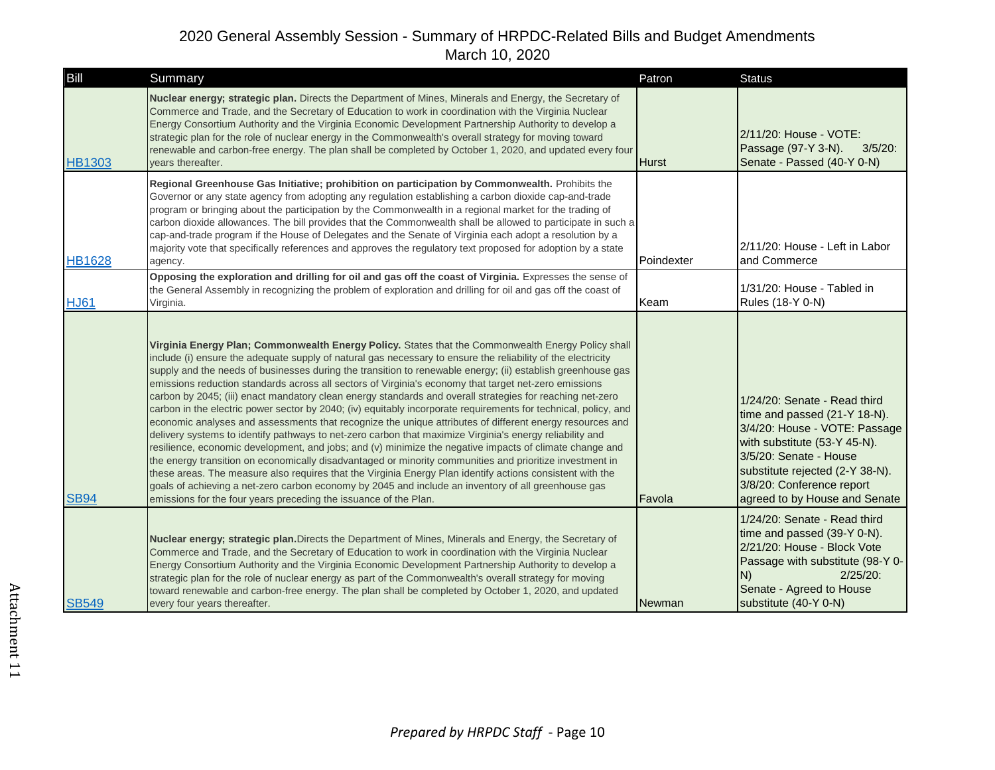| Bill          | Summary                                                                                                                                                                                                                                                                                                                                                                                                                                                                                                                                                                                                                                                                                                                                                                                                                                                                                                                                                                                                                                                                                                                                                                                                                                                                                                                                                                                                           | Patron       | <b>Status</b>                                                                                                                                                                                                                                            |
|---------------|-------------------------------------------------------------------------------------------------------------------------------------------------------------------------------------------------------------------------------------------------------------------------------------------------------------------------------------------------------------------------------------------------------------------------------------------------------------------------------------------------------------------------------------------------------------------------------------------------------------------------------------------------------------------------------------------------------------------------------------------------------------------------------------------------------------------------------------------------------------------------------------------------------------------------------------------------------------------------------------------------------------------------------------------------------------------------------------------------------------------------------------------------------------------------------------------------------------------------------------------------------------------------------------------------------------------------------------------------------------------------------------------------------------------|--------------|----------------------------------------------------------------------------------------------------------------------------------------------------------------------------------------------------------------------------------------------------------|
| <b>HB1303</b> | Nuclear energy; strategic plan. Directs the Department of Mines, Minerals and Energy, the Secretary of<br>Commerce and Trade, and the Secretary of Education to work in coordination with the Virginia Nuclear<br>Energy Consortium Authority and the Virginia Economic Development Partnership Authority to develop a<br>strategic plan for the role of nuclear energy in the Commonwealth's overall strategy for moving toward<br>renewable and carbon-free energy. The plan shall be completed by October 1, 2020, and updated every four<br>vears thereafter.                                                                                                                                                                                                                                                                                                                                                                                                                                                                                                                                                                                                                                                                                                                                                                                                                                                 | <b>Hurst</b> | 2/11/20: House - VOTE:<br>Passage (97-Y 3-N).<br>$3/5/20$ :<br>Senate - Passed (40-Y 0-N)                                                                                                                                                                |
| <b>HB1628</b> | Regional Greenhouse Gas Initiative; prohibition on participation by Commonwealth. Prohibits the<br>Governor or any state agency from adopting any regulation establishing a carbon dioxide cap-and-trade<br>program or bringing about the participation by the Commonwealth in a regional market for the trading of<br>carbon dioxide allowances. The bill provides that the Commonwealth shall be allowed to participate in such a<br>cap-and-trade program if the House of Delegates and the Senate of Virginia each adopt a resolution by a<br>majority vote that specifically references and approves the regulatory text proposed for adoption by a state<br>agency.                                                                                                                                                                                                                                                                                                                                                                                                                                                                                                                                                                                                                                                                                                                                         | Poindexter   | 2/11/20: House - Left in Labor<br>and Commerce                                                                                                                                                                                                           |
| <b>HJ61</b>   | Opposing the exploration and drilling for oil and gas off the coast of Virginia. Expresses the sense of<br>the General Assembly in recognizing the problem of exploration and drilling for oil and gas off the coast of<br>Virginia.                                                                                                                                                                                                                                                                                                                                                                                                                                                                                                                                                                                                                                                                                                                                                                                                                                                                                                                                                                                                                                                                                                                                                                              | Keam         | 1/31/20: House - Tabled in<br>Rules (18-Y 0-N)                                                                                                                                                                                                           |
| <b>SB94</b>   | Virginia Energy Plan; Commonwealth Energy Policy. States that the Commonwealth Energy Policy shall<br>include (i) ensure the adequate supply of natural gas necessary to ensure the reliability of the electricity<br>supply and the needs of businesses during the transition to renewable energy; (ii) establish greenhouse gas<br>emissions reduction standards across all sectors of Virginia's economy that target net-zero emissions<br>carbon by 2045; (iii) enact mandatory clean energy standards and overall strategies for reaching net-zero<br>carbon in the electric power sector by 2040; (iv) equitably incorporate requirements for technical, policy, and<br>economic analyses and assessments that recognize the unique attributes of different energy resources and<br>delivery systems to identify pathways to net-zero carbon that maximize Virginia's energy reliability and<br>resilience, economic development, and jobs; and (v) minimize the negative impacts of climate change and<br>the energy transition on economically disadvantaged or minority communities and prioritize investment in<br>these areas. The measure also requires that the Virginia Energy Plan identify actions consistent with the<br>goals of achieving a net-zero carbon economy by 2045 and include an inventory of all greenhouse gas<br>emissions for the four years preceding the issuance of the Plan. | Favola       | 1/24/20: Senate - Read third<br>time and passed (21-Y 18-N).<br>3/4/20: House - VOTE: Passage<br>with substitute (53-Y 45-N).<br>3/5/20: Senate - House<br>substitute rejected (2-Y 38-N).<br>3/8/20: Conference report<br>agreed to by House and Senate |
| <b>SB549</b>  | Nuclear energy; strategic plan. Directs the Department of Mines, Minerals and Energy, the Secretary of<br>Commerce and Trade, and the Secretary of Education to work in coordination with the Virginia Nuclear<br>Energy Consortium Authority and the Virginia Economic Development Partnership Authority to develop a<br>strategic plan for the role of nuclear energy as part of the Commonwealth's overall strategy for moving<br>toward renewable and carbon-free energy. The plan shall be completed by October 1, 2020, and updated<br>every four years thereafter.                                                                                                                                                                                                                                                                                                                                                                                                                                                                                                                                                                                                                                                                                                                                                                                                                                         | Newman       | 1/24/20: Senate - Read third<br>time and passed (39-Y 0-N).<br>2/21/20: House - Block Vote<br>Passage with substitute (98-Y 0-<br>$2/25/20$ :<br>N)<br>Senate - Agreed to House<br>substitute (40-Y 0-N)                                                 |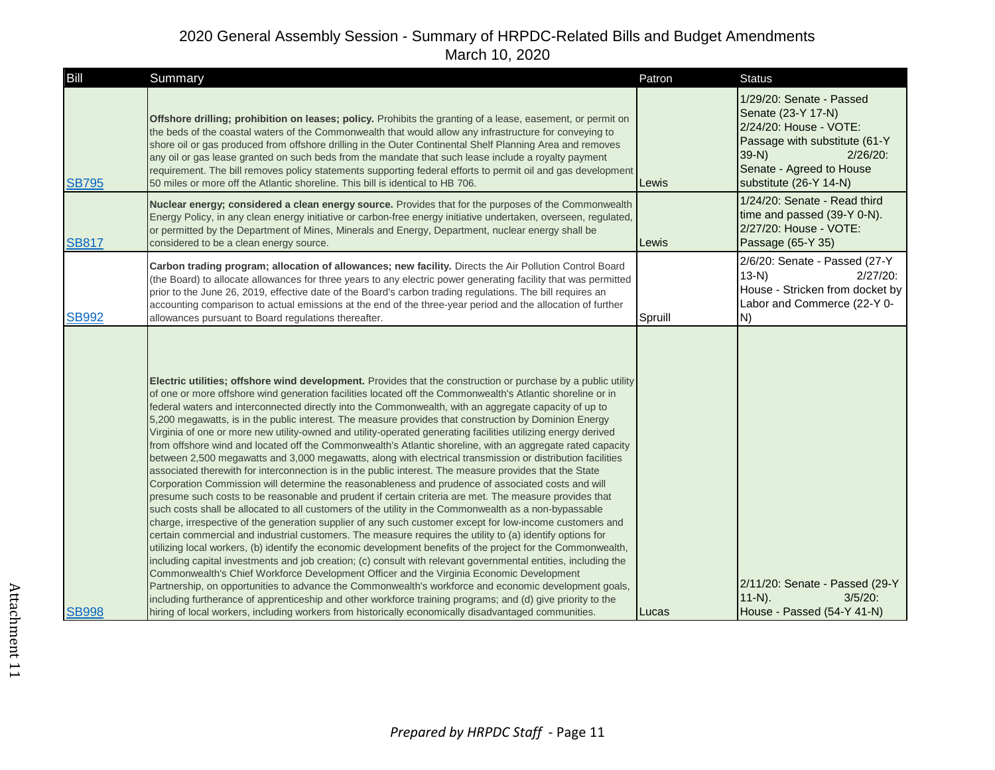| Bill         | Summary                                                                                                                                                                                                                                                                                                                                                                                                                                                                                                                                                                                                                                                                                                                                                                                                                                                                                                                                                                                                                                                                                                                                                                                                                                                                                                                                                                                                                                                                                                                                                                                                                                                                                                                                                                                                                                                                                                                                                                                                                                                                                                               | Patron  | <b>Status</b>                                                                                                                                                                          |
|--------------|-----------------------------------------------------------------------------------------------------------------------------------------------------------------------------------------------------------------------------------------------------------------------------------------------------------------------------------------------------------------------------------------------------------------------------------------------------------------------------------------------------------------------------------------------------------------------------------------------------------------------------------------------------------------------------------------------------------------------------------------------------------------------------------------------------------------------------------------------------------------------------------------------------------------------------------------------------------------------------------------------------------------------------------------------------------------------------------------------------------------------------------------------------------------------------------------------------------------------------------------------------------------------------------------------------------------------------------------------------------------------------------------------------------------------------------------------------------------------------------------------------------------------------------------------------------------------------------------------------------------------------------------------------------------------------------------------------------------------------------------------------------------------------------------------------------------------------------------------------------------------------------------------------------------------------------------------------------------------------------------------------------------------------------------------------------------------------------------------------------------------|---------|----------------------------------------------------------------------------------------------------------------------------------------------------------------------------------------|
| <b>SB795</b> | Offshore drilling; prohibition on leases; policy. Prohibits the granting of a lease, easement, or permit on<br>the beds of the coastal waters of the Commonwealth that would allow any infrastructure for conveying to<br>shore oil or gas produced from offshore drilling in the Outer Continental Shelf Planning Area and removes<br>any oil or gas lease granted on such beds from the mandate that such lease include a royalty payment<br>requirement. The bill removes policy statements supporting federal efforts to permit oil and gas development<br>50 miles or more off the Atlantic shoreline. This bill is identical to HB 706.                                                                                                                                                                                                                                                                                                                                                                                                                                                                                                                                                                                                                                                                                                                                                                                                                                                                                                                                                                                                                                                                                                                                                                                                                                                                                                                                                                                                                                                                         | Lewis   | 1/29/20: Senate - Passed<br>Senate (23-Y 17-N)<br>2/24/20: House - VOTE:<br>Passage with substitute (61-Y<br>$39-N$ )<br>2/26/20<br>Senate - Agreed to House<br>substitute (26-Y 14-N) |
| <b>SB817</b> | Nuclear energy; considered a clean energy source. Provides that for the purposes of the Commonwealth<br>Energy Policy, in any clean energy initiative or carbon-free energy initiative undertaken, overseen, regulated,<br>or permitted by the Department of Mines, Minerals and Energy, Department, nuclear energy shall be<br>considered to be a clean energy source.                                                                                                                                                                                                                                                                                                                                                                                                                                                                                                                                                                                                                                                                                                                                                                                                                                                                                                                                                                                                                                                                                                                                                                                                                                                                                                                                                                                                                                                                                                                                                                                                                                                                                                                                               | Lewis   | 1/24/20: Senate - Read third<br>time and passed (39-Y 0-N).<br>2/27/20: House - VOTE:<br>Passage (65-Y 35)                                                                             |
| <b>SB992</b> | Carbon trading program; allocation of allowances; new facility. Directs the Air Pollution Control Board<br>(the Board) to allocate allowances for three years to any electric power generating facility that was permitted<br>prior to the June 26, 2019, effective date of the Board's carbon trading regulations. The bill requires an<br>accounting comparison to actual emissions at the end of the three-year period and the allocation of further<br>allowances pursuant to Board regulations thereafter.                                                                                                                                                                                                                                                                                                                                                                                                                                                                                                                                                                                                                                                                                                                                                                                                                                                                                                                                                                                                                                                                                                                                                                                                                                                                                                                                                                                                                                                                                                                                                                                                       | Spruill | 2/6/20: Senate - Passed (27-Y<br>$13-N$ )<br>$2/27/20$ :<br>House - Stricken from docket by<br>Labor and Commerce (22-Y 0-<br>IN)                                                      |
| <b>SB998</b> | Electric utilities; offshore wind development. Provides that the construction or purchase by a public utility<br>of one or more offshore wind generation facilities located off the Commonwealth's Atlantic shoreline or in<br>federal waters and interconnected directly into the Commonwealth, with an aggregate capacity of up to<br>5,200 megawatts, is in the public interest. The measure provides that construction by Dominion Energy<br>Virginia of one or more new utility-owned and utility-operated generating facilities utilizing energy derived<br>from offshore wind and located off the Commonwealth's Atlantic shoreline, with an aggregate rated capacity<br>between 2,500 megawatts and 3,000 megawatts, along with electrical transmission or distribution facilities<br>associated therewith for interconnection is in the public interest. The measure provides that the State<br>Corporation Commission will determine the reasonableness and prudence of associated costs and will<br>presume such costs to be reasonable and prudent if certain criteria are met. The measure provides that<br>such costs shall be allocated to all customers of the utility in the Commonwealth as a non-bypassable<br>charge, irrespective of the generation supplier of any such customer except for low-income customers and<br>certain commercial and industrial customers. The measure requires the utility to (a) identify options for<br>utilizing local workers, (b) identify the economic development benefits of the project for the Commonwealth,<br>including capital investments and job creation; (c) consult with relevant governmental entities, including the<br>Commonwealth's Chief Workforce Development Officer and the Virginia Economic Development<br>Partnership, on opportunities to advance the Commonwealth's workforce and economic development goals,<br>including furtherance of apprenticeship and other workforce training programs; and (d) give priority to the<br>hiring of local workers, including workers from historically economically disadvantaged communities. | Lucas   | 2/11/20: Senate - Passed (29-Y<br>$11 - N$ ).<br>$3/5/20$ :<br>House - Passed (54-Y 41-N)                                                                                              |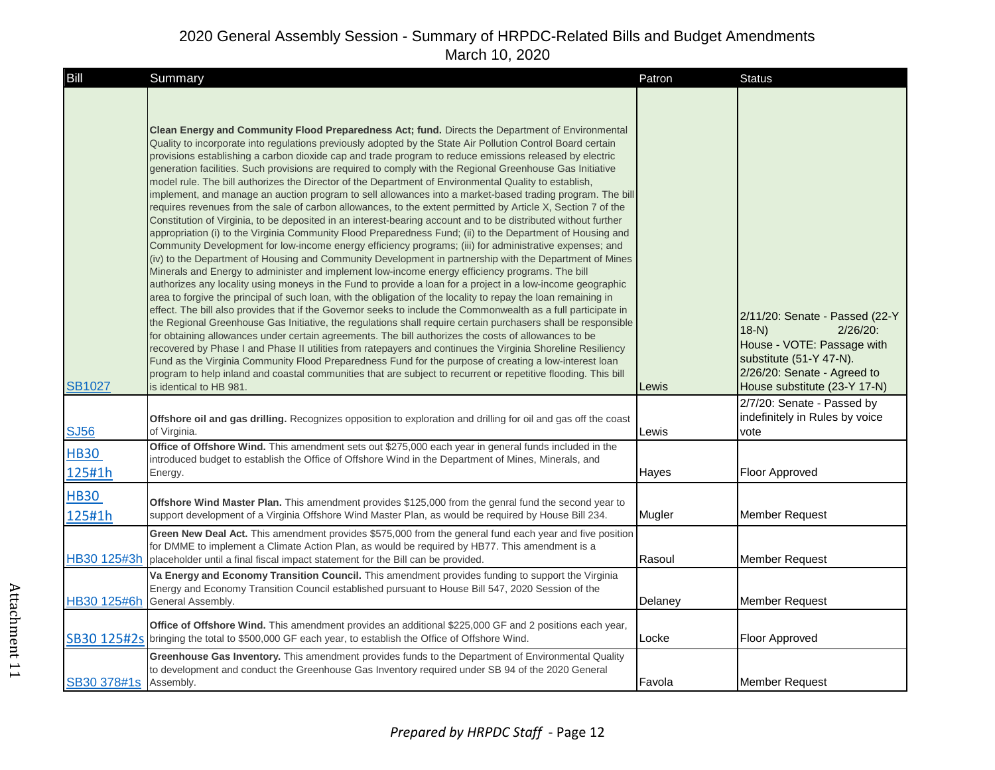| Bill                  | Summary                                                                                                                                                                                                                                                                                                                                                                                                                                                                                                                                                                                                                                                                                                                                                                                                                                                                                                                                                                                                                                                                                                                                                                                                                                                                                                                                                                                                                                                                                                                                                                                                                                                                                                                                                                                                                                                                                                                                                                                                                                                                                                                                                                                                                                                                                  | Patron  | <b>Status</b>                                                                                                                                                                     |
|-----------------------|------------------------------------------------------------------------------------------------------------------------------------------------------------------------------------------------------------------------------------------------------------------------------------------------------------------------------------------------------------------------------------------------------------------------------------------------------------------------------------------------------------------------------------------------------------------------------------------------------------------------------------------------------------------------------------------------------------------------------------------------------------------------------------------------------------------------------------------------------------------------------------------------------------------------------------------------------------------------------------------------------------------------------------------------------------------------------------------------------------------------------------------------------------------------------------------------------------------------------------------------------------------------------------------------------------------------------------------------------------------------------------------------------------------------------------------------------------------------------------------------------------------------------------------------------------------------------------------------------------------------------------------------------------------------------------------------------------------------------------------------------------------------------------------------------------------------------------------------------------------------------------------------------------------------------------------------------------------------------------------------------------------------------------------------------------------------------------------------------------------------------------------------------------------------------------------------------------------------------------------------------------------------------------------|---------|-----------------------------------------------------------------------------------------------------------------------------------------------------------------------------------|
| <b>SB1027</b>         | Clean Energy and Community Flood Preparedness Act; fund. Directs the Department of Environmental<br>Quality to incorporate into regulations previously adopted by the State Air Pollution Control Board certain<br>provisions establishing a carbon dioxide cap and trade program to reduce emissions released by electric<br>generation facilities. Such provisions are required to comply with the Regional Greenhouse Gas Initiative<br>model rule. The bill authorizes the Director of the Department of Environmental Quality to establish,<br>implement, and manage an auction program to sell allowances into a market-based trading program. The bill<br>requires revenues from the sale of carbon allowances, to the extent permitted by Article X, Section 7 of the<br>Constitution of Virginia, to be deposited in an interest-bearing account and to be distributed without further<br>appropriation (i) to the Virginia Community Flood Preparedness Fund; (ii) to the Department of Housing and<br>Community Development for low-income energy efficiency programs; (iii) for administrative expenses; and<br>(iv) to the Department of Housing and Community Development in partnership with the Department of Mines<br>Minerals and Energy to administer and implement low-income energy efficiency programs. The bill<br>authorizes any locality using moneys in the Fund to provide a loan for a project in a low-income geographic<br>area to forgive the principal of such loan, with the obligation of the locality to repay the loan remaining in<br>effect. The bill also provides that if the Governor seeks to include the Commonwealth as a full participate in<br>the Regional Greenhouse Gas Initiative, the regulations shall require certain purchasers shall be responsible<br>for obtaining allowances under certain agreements. The bill authorizes the costs of allowances to be<br>recovered by Phase I and Phase II utilities from ratepayers and continues the Virginia Shoreline Resiliency<br>Fund as the Virginia Community Flood Preparedness Fund for the purpose of creating a low-interest loan<br>program to help inland and coastal communities that are subject to recurrent or repetitive flooding. This bill<br>is identical to HB 981. | Lewis   | 2/11/20: Senate - Passed (22-Y<br>$(18-N)$<br>$2/26/20$ :<br>House - VOTE: Passage with<br>substitute (51-Y 47-N).<br>2/26/20: Senate - Agreed to<br>House substitute (23-Y 17-N) |
| <b>SJ56</b>           | <b>Offshore oil and gas drilling.</b> Recognizes opposition to exploration and drilling for oil and gas off the coast<br>of Virginia.                                                                                                                                                                                                                                                                                                                                                                                                                                                                                                                                                                                                                                                                                                                                                                                                                                                                                                                                                                                                                                                                                                                                                                                                                                                                                                                                                                                                                                                                                                                                                                                                                                                                                                                                                                                                                                                                                                                                                                                                                                                                                                                                                    | Lewis   | 2/7/20: Senate - Passed by<br>indefinitely in Rules by voice<br>vote                                                                                                              |
| <b>HB30</b><br>125#1h | Office of Offshore Wind. This amendment sets out \$275,000 each year in general funds included in the<br>introduced budget to establish the Office of Offshore Wind in the Department of Mines, Minerals, and<br>Energy.                                                                                                                                                                                                                                                                                                                                                                                                                                                                                                                                                                                                                                                                                                                                                                                                                                                                                                                                                                                                                                                                                                                                                                                                                                                                                                                                                                                                                                                                                                                                                                                                                                                                                                                                                                                                                                                                                                                                                                                                                                                                 | Hayes   | Floor Approved                                                                                                                                                                    |
| <b>HB30</b><br>125#1h | Offshore Wind Master Plan. This amendment provides \$125,000 from the genral fund the second year to<br>support development of a Virginia Offshore Wind Master Plan, as would be required by House Bill 234.                                                                                                                                                                                                                                                                                                                                                                                                                                                                                                                                                                                                                                                                                                                                                                                                                                                                                                                                                                                                                                                                                                                                                                                                                                                                                                                                                                                                                                                                                                                                                                                                                                                                                                                                                                                                                                                                                                                                                                                                                                                                             | Mugler  | Member Request                                                                                                                                                                    |
| HB30 125#3h           | Green New Deal Act. This amendment provides \$575,000 from the general fund each year and five position<br>for DMME to implement a Climate Action Plan, as would be required by HB77. This amendment is a<br>placeholder until a final fiscal impact statement for the Bill can be provided.                                                                                                                                                                                                                                                                                                                                                                                                                                                                                                                                                                                                                                                                                                                                                                                                                                                                                                                                                                                                                                                                                                                                                                                                                                                                                                                                                                                                                                                                                                                                                                                                                                                                                                                                                                                                                                                                                                                                                                                             | Rasoul  | Member Request                                                                                                                                                                    |
| HB30 125#6h           | Va Energy and Economy Transition Council. This amendment provides funding to support the Virginia<br>Energy and Economy Transition Council established pursuant to House Bill 547, 2020 Session of the<br>General Assembly.                                                                                                                                                                                                                                                                                                                                                                                                                                                                                                                                                                                                                                                                                                                                                                                                                                                                                                                                                                                                                                                                                                                                                                                                                                                                                                                                                                                                                                                                                                                                                                                                                                                                                                                                                                                                                                                                                                                                                                                                                                                              | Delaney | Member Request                                                                                                                                                                    |
|                       | Office of Offshore Wind. This amendment provides an additional \$225,000 GF and 2 positions each year,<br>SB30 125#2s bringing the total to \$500,000 GF each year, to establish the Office of Offshore Wind.                                                                                                                                                                                                                                                                                                                                                                                                                                                                                                                                                                                                                                                                                                                                                                                                                                                                                                                                                                                                                                                                                                                                                                                                                                                                                                                                                                                                                                                                                                                                                                                                                                                                                                                                                                                                                                                                                                                                                                                                                                                                            | Locke   | Floor Approved                                                                                                                                                                    |
| SB30 378#1s           | Greenhouse Gas Inventory. This amendment provides funds to the Department of Environmental Quality<br>to development and conduct the Greenhouse Gas Inventory required under SB 94 of the 2020 General<br>Assembly.                                                                                                                                                                                                                                                                                                                                                                                                                                                                                                                                                                                                                                                                                                                                                                                                                                                                                                                                                                                                                                                                                                                                                                                                                                                                                                                                                                                                                                                                                                                                                                                                                                                                                                                                                                                                                                                                                                                                                                                                                                                                      | Favola  | Member Request                                                                                                                                                                    |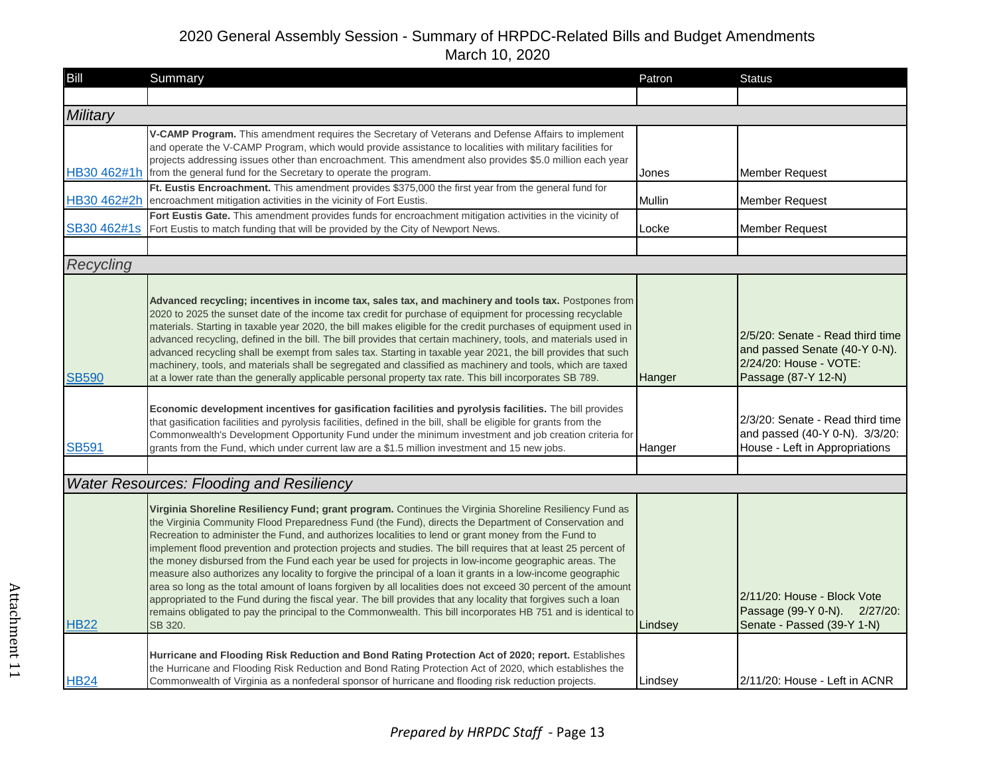| Bill         | Summary                                                                                                                                                                                                                                                                                                                                                                                                                                                                                                                                                                                                                                                                                                                                                                                                                                                                                                                                                                                                                         | Patron  | <b>Status</b>                                                                                                      |
|--------------|---------------------------------------------------------------------------------------------------------------------------------------------------------------------------------------------------------------------------------------------------------------------------------------------------------------------------------------------------------------------------------------------------------------------------------------------------------------------------------------------------------------------------------------------------------------------------------------------------------------------------------------------------------------------------------------------------------------------------------------------------------------------------------------------------------------------------------------------------------------------------------------------------------------------------------------------------------------------------------------------------------------------------------|---------|--------------------------------------------------------------------------------------------------------------------|
|              |                                                                                                                                                                                                                                                                                                                                                                                                                                                                                                                                                                                                                                                                                                                                                                                                                                                                                                                                                                                                                                 |         |                                                                                                                    |
| Military     |                                                                                                                                                                                                                                                                                                                                                                                                                                                                                                                                                                                                                                                                                                                                                                                                                                                                                                                                                                                                                                 |         |                                                                                                                    |
| HB30 462#1h  | V-CAMP Program. This amendment requires the Secretary of Veterans and Defense Affairs to implement<br>and operate the V-CAMP Program, which would provide assistance to localities with military facilities for<br>projects addressing issues other than encroachment. This amendment also provides \$5.0 million each year<br>from the general fund for the Secretary to operate the program.                                                                                                                                                                                                                                                                                                                                                                                                                                                                                                                                                                                                                                  | Jones   | <b>Member Request</b>                                                                                              |
|              | Ft. Eustis Encroachment. This amendment provides \$375,000 the first year from the general fund for                                                                                                                                                                                                                                                                                                                                                                                                                                                                                                                                                                                                                                                                                                                                                                                                                                                                                                                             |         |                                                                                                                    |
| HB30 462#2h  | encroachment mitigation activities in the vicinity of Fort Eustis.                                                                                                                                                                                                                                                                                                                                                                                                                                                                                                                                                                                                                                                                                                                                                                                                                                                                                                                                                              | Mullin  | <b>Member Request</b>                                                                                              |
| SB30 462#1s  | Fort Eustis Gate. This amendment provides funds for encroachment mitigation activities in the vicinity of<br>Fort Eustis to match funding that will be provided by the City of Newport News.                                                                                                                                                                                                                                                                                                                                                                                                                                                                                                                                                                                                                                                                                                                                                                                                                                    | Locke   | <b>Member Request</b>                                                                                              |
|              |                                                                                                                                                                                                                                                                                                                                                                                                                                                                                                                                                                                                                                                                                                                                                                                                                                                                                                                                                                                                                                 |         |                                                                                                                    |
| Recycling    |                                                                                                                                                                                                                                                                                                                                                                                                                                                                                                                                                                                                                                                                                                                                                                                                                                                                                                                                                                                                                                 |         |                                                                                                                    |
| <b>SB590</b> | Advanced recycling; incentives in income tax, sales tax, and machinery and tools tax. Postpones from<br>2020 to 2025 the sunset date of the income tax credit for purchase of equipment for processing recyclable<br>materials. Starting in taxable year 2020, the bill makes eligible for the credit purchases of equipment used in<br>advanced recycling, defined in the bill. The bill provides that certain machinery, tools, and materials used in<br>advanced recycling shall be exempt from sales tax. Starting in taxable year 2021, the bill provides that such<br>machinery, tools, and materials shall be segregated and classified as machinery and tools, which are taxed<br>at a lower rate than the generally applicable personal property tax rate. This bill incorporates SB 789.                                                                                                                                                                                                                              | Hanger  | 2/5/20: Senate - Read third time<br>and passed Senate (40-Y 0-N).<br>2/24/20: House - VOTE:<br>Passage (87-Y 12-N) |
| <b>SB591</b> | Economic development incentives for gasification facilities and pyrolysis facilities. The bill provides<br>that gasification facilities and pyrolysis facilities, defined in the bill, shall be eligible for grants from the<br>Commonwealth's Development Opportunity Fund under the minimum investment and job creation criteria for<br>grants from the Fund, which under current law are a \$1.5 million investment and 15 new jobs.                                                                                                                                                                                                                                                                                                                                                                                                                                                                                                                                                                                         | Hanger  | 2/3/20: Senate - Read third time<br>and passed (40-Y 0-N). 3/3/20:<br>House - Left in Appropriations               |
|              |                                                                                                                                                                                                                                                                                                                                                                                                                                                                                                                                                                                                                                                                                                                                                                                                                                                                                                                                                                                                                                 |         |                                                                                                                    |
|              | <b>Water Resources: Flooding and Resiliency</b>                                                                                                                                                                                                                                                                                                                                                                                                                                                                                                                                                                                                                                                                                                                                                                                                                                                                                                                                                                                 |         |                                                                                                                    |
| <b>HB22</b>  | Virginia Shoreline Resiliency Fund; grant program. Continues the Virginia Shoreline Resiliency Fund as<br>the Virginia Community Flood Preparedness Fund (the Fund), directs the Department of Conservation and<br>Recreation to administer the Fund, and authorizes localities to lend or grant money from the Fund to<br>implement flood prevention and protection projects and studies. The bill requires that at least 25 percent of<br>the money disbursed from the Fund each year be used for projects in low-income geographic areas. The<br>measure also authorizes any locality to forgive the principal of a loan it grants in a low-income geographic<br>area so long as the total amount of loans forgiven by all localities does not exceed 30 percent of the amount<br>appropriated to the Fund during the fiscal year. The bill provides that any locality that forgives such a loan<br>remains obligated to pay the principal to the Commonwealth. This bill incorporates HB 751 and is identical to<br>SB 320. | Lindsey | 2/11/20: House - Block Vote<br>Passage (99-Y 0-N). 2/27/20:<br>Senate - Passed (39-Y 1-N)                          |
| <b>HB24</b>  | Hurricane and Flooding Risk Reduction and Bond Rating Protection Act of 2020; report. Establishes<br>the Hurricane and Flooding Risk Reduction and Bond Rating Protection Act of 2020, which establishes the<br>Commonwealth of Virginia as a nonfederal sponsor of hurricane and flooding risk reduction projects.                                                                                                                                                                                                                                                                                                                                                                                                                                                                                                                                                                                                                                                                                                             | Lindsey | 2/11/20: House - Left in ACNR                                                                                      |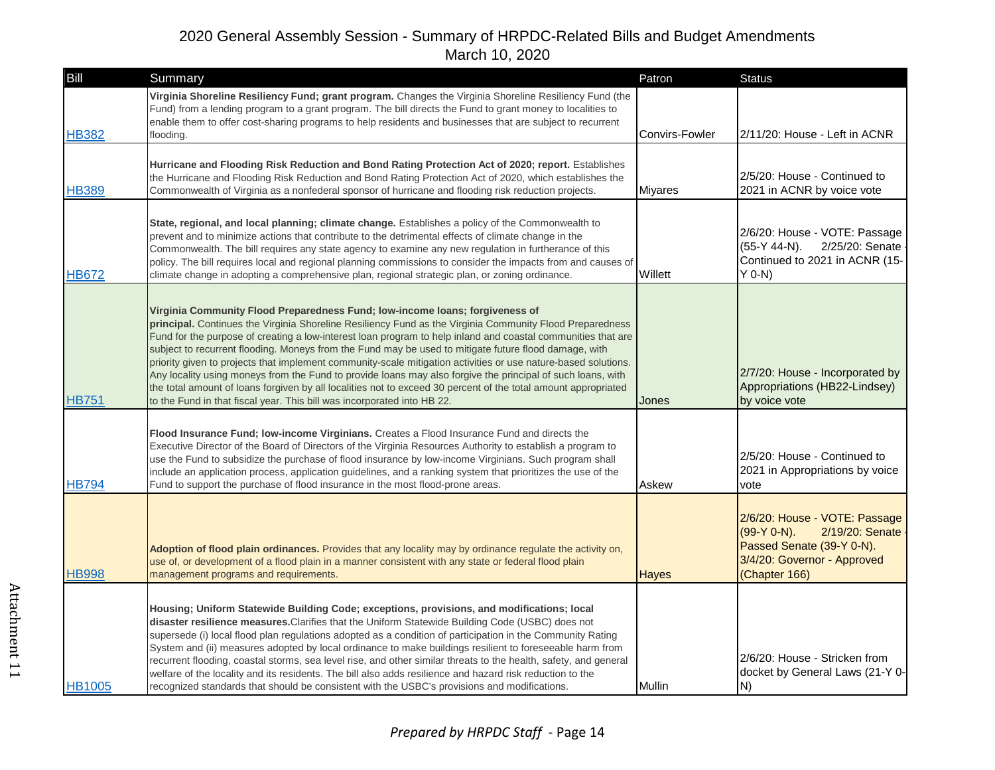| Bill          | Summary                                                                                                                                                                                                                                                                                                                                                                                                                                                                                                                                                                                                                                                                                                                                                                                                                                         | Patron                | <b>Status</b>                                                                                                                                |
|---------------|-------------------------------------------------------------------------------------------------------------------------------------------------------------------------------------------------------------------------------------------------------------------------------------------------------------------------------------------------------------------------------------------------------------------------------------------------------------------------------------------------------------------------------------------------------------------------------------------------------------------------------------------------------------------------------------------------------------------------------------------------------------------------------------------------------------------------------------------------|-----------------------|----------------------------------------------------------------------------------------------------------------------------------------------|
| <b>HB382</b>  | Virginia Shoreline Resiliency Fund; grant program. Changes the Virginia Shoreline Resiliency Fund (the<br>Fund) from a lending program to a grant program. The bill directs the Fund to grant money to localities to<br>enable them to offer cost-sharing programs to help residents and businesses that are subject to recurrent<br>flooding.                                                                                                                                                                                                                                                                                                                                                                                                                                                                                                  | <b>Convirs-Fowler</b> | 2/11/20: House - Left in ACNR                                                                                                                |
| <b>HB389</b>  | Hurricane and Flooding Risk Reduction and Bond Rating Protection Act of 2020; report. Establishes<br>the Hurricane and Flooding Risk Reduction and Bond Rating Protection Act of 2020, which establishes the<br>Commonwealth of Virginia as a nonfederal sponsor of hurricane and flooding risk reduction projects.                                                                                                                                                                                                                                                                                                                                                                                                                                                                                                                             | <b>Miyares</b>        | 2/5/20: House - Continued to<br>2021 in ACNR by voice vote                                                                                   |
| <b>HB672</b>  | State, regional, and local planning; climate change. Establishes a policy of the Commonwealth to<br>prevent and to minimize actions that contribute to the detrimental effects of climate change in the<br>Commonwealth. The bill requires any state agency to examine any new regulation in furtherance of this<br>policy. The bill requires local and regional planning commissions to consider the impacts from and causes of<br>climate change in adopting a comprehensive plan, regional strategic plan, or zoning ordinance.                                                                                                                                                                                                                                                                                                              | Willett               | 2/6/20: House - VOTE: Passage<br>$(55-Y 44-N)$ .<br>2/25/20: Senate<br>Continued to 2021 in ACNR (15-<br>$Y$ 0-N)                            |
| <b>HB751</b>  | Virginia Community Flood Preparedness Fund; low-income loans; forgiveness of<br>principal. Continues the Virginia Shoreline Resiliency Fund as the Virginia Community Flood Preparedness<br>Fund for the purpose of creating a low-interest loan program to help inland and coastal communities that are<br>subject to recurrent flooding. Moneys from the Fund may be used to mitigate future flood damage, with<br>priority given to projects that implement community-scale mitigation activities or use nature-based solutions.<br>Any locality using moneys from the Fund to provide loans may also forgive the principal of such loans, with<br>the total amount of loans forgiven by all localities not to exceed 30 percent of the total amount appropriated<br>to the Fund in that fiscal year. This bill was incorporated into HB 22. | Jones                 | 2/7/20: House - Incorporated by<br>Appropriations (HB22-Lindsey)<br>by voice vote                                                            |
| <b>HB794</b>  | Flood Insurance Fund; low-income Virginians. Creates a Flood Insurance Fund and directs the<br>Executive Director of the Board of Directors of the Virginia Resources Authority to establish a program to<br>use the Fund to subsidize the purchase of flood insurance by low-income Virginians. Such program shall<br>include an application process, application guidelines, and a ranking system that prioritizes the use of the<br>Fund to support the purchase of flood insurance in the most flood-prone areas.                                                                                                                                                                                                                                                                                                                           | Askew                 | 2/5/20: House - Continued to<br>2021 in Appropriations by voice<br>vote                                                                      |
| <b>HB998</b>  | Adoption of flood plain ordinances. Provides that any locality may by ordinance regulate the activity on,<br>use of, or development of a flood plain in a manner consistent with any state or federal flood plain<br>management programs and requirements.                                                                                                                                                                                                                                                                                                                                                                                                                                                                                                                                                                                      | <b>Hayes</b>          | 2/6/20: House - VOTE: Passage<br>(99-Y 0-N).<br>2/19/20: Senate<br>Passed Senate (39-Y 0-N).<br>3/4/20: Governor - Approved<br>(Chapter 166) |
| <b>HB1005</b> | Housing; Uniform Statewide Building Code; exceptions, provisions, and modifications; local<br>disaster resilience measures. Clarifies that the Uniform Statewide Building Code (USBC) does not<br>supersede (i) local flood plan regulations adopted as a condition of participation in the Community Rating<br>System and (ii) measures adopted by local ordinance to make buildings resilient to foreseeable harm from<br>recurrent flooding, coastal storms, sea level rise, and other similar threats to the health, safety, and general<br>welfare of the locality and its residents. The bill also adds resilience and hazard risk reduction to the<br>recognized standards that should be consistent with the USBC's provisions and modifications.                                                                                       | Mullin                | 2/6/20: House - Stricken from<br>docket by General Laws (21-Y 0-<br>N)                                                                       |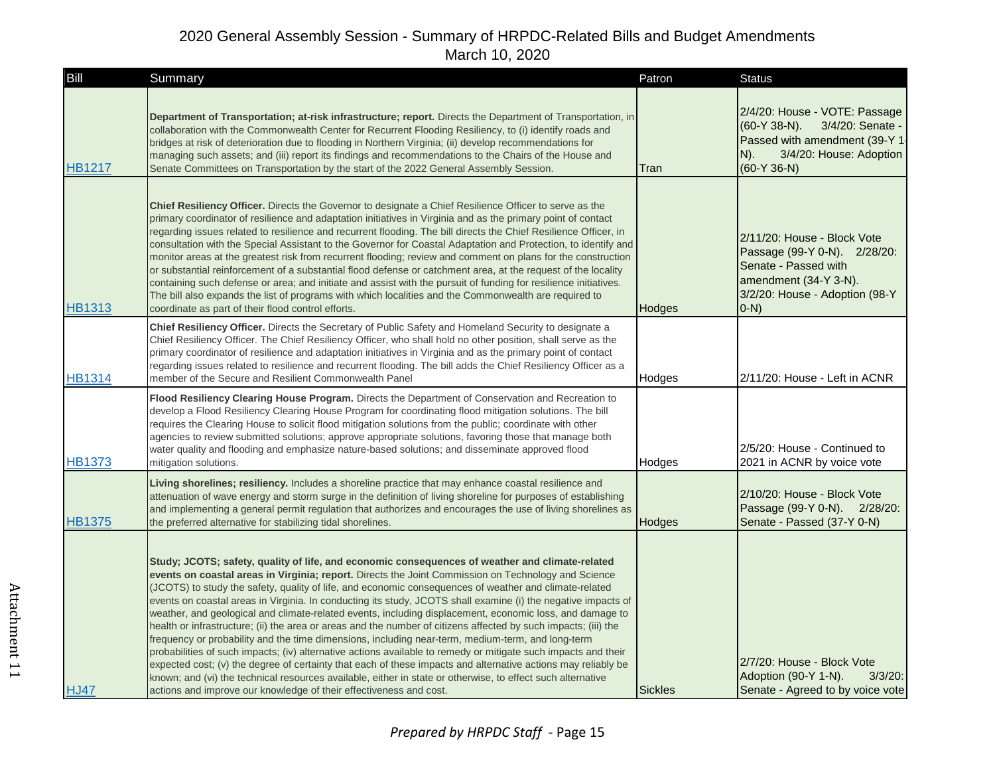| Bill          | Summary                                                                                                                                                                                                                                                                                                                                                                                                                                                                                                                                                                                                                                                                                                                                                                                                                                                                                                                                                                                                                                                                                                                                                                                       | Patron         | <b>Status</b>                                                                                                                                                |
|---------------|-----------------------------------------------------------------------------------------------------------------------------------------------------------------------------------------------------------------------------------------------------------------------------------------------------------------------------------------------------------------------------------------------------------------------------------------------------------------------------------------------------------------------------------------------------------------------------------------------------------------------------------------------------------------------------------------------------------------------------------------------------------------------------------------------------------------------------------------------------------------------------------------------------------------------------------------------------------------------------------------------------------------------------------------------------------------------------------------------------------------------------------------------------------------------------------------------|----------------|--------------------------------------------------------------------------------------------------------------------------------------------------------------|
| <b>HB1217</b> | Department of Transportation; at-risk infrastructure; report. Directs the Department of Transportation, in<br>collaboration with the Commonwealth Center for Recurrent Flooding Resiliency, to (i) identify roads and<br>bridges at risk of deterioration due to flooding in Northern Virginia; (ii) develop recommendations for<br>managing such assets; and (iii) report its findings and recommendations to the Chairs of the House and<br>Senate Committees on Transportation by the start of the 2022 General Assembly Session.                                                                                                                                                                                                                                                                                                                                                                                                                                                                                                                                                                                                                                                          | Tran           | 2/4/20: House - VOTE: Passage<br>$(60-Y 38-N)$ .<br>3/4/20: Senate -<br>Passed with amendment (39-Y 1-<br>3/4/20: House: Adoption<br>$N$ ).<br>$(60-Y 36-N)$ |
| <b>HB1313</b> | <b>Chief Resiliency Officer.</b> Directs the Governor to designate a Chief Resilience Officer to serve as the<br>primary coordinator of resilience and adaptation initiatives in Virginia and as the primary point of contact<br>regarding issues related to resilience and recurrent flooding. The bill directs the Chief Resilience Officer, in<br>consultation with the Special Assistant to the Governor for Coastal Adaptation and Protection, to identify and<br>monitor areas at the greatest risk from recurrent flooding; review and comment on plans for the construction<br>or substantial reinforcement of a substantial flood defense or catchment area, at the request of the locality<br>containing such defense or area; and initiate and assist with the pursuit of funding for resilience initiatives.<br>The bill also expands the list of programs with which localities and the Commonwealth are required to<br>coordinate as part of their flood control efforts.                                                                                                                                                                                                       | Hodges         | 2/11/20: House - Block Vote<br>Passage (99-Y 0-N). 2/28/20:<br>Senate - Passed with<br>amendment (34-Y 3-N).<br>3/2/20: House - Adoption (98-Y<br>$(0-N)$    |
| <b>HB1314</b> | Chief Resiliency Officer. Directs the Secretary of Public Safety and Homeland Security to designate a<br>Chief Resiliency Officer. The Chief Resiliency Officer, who shall hold no other position, shall serve as the<br>primary coordinator of resilience and adaptation initiatives in Virginia and as the primary point of contact<br>regarding issues related to resilience and recurrent flooding. The bill adds the Chief Resiliency Officer as a<br>member of the Secure and Resilient Commonwealth Panel                                                                                                                                                                                                                                                                                                                                                                                                                                                                                                                                                                                                                                                                              | Hodges         | 2/11/20: House - Left in ACNR                                                                                                                                |
| <b>HB1373</b> | Flood Resiliency Clearing House Program. Directs the Department of Conservation and Recreation to<br>develop a Flood Resiliency Clearing House Program for coordinating flood mitigation solutions. The bill<br>requires the Clearing House to solicit flood mitigation solutions from the public; coordinate with other<br>agencies to review submitted solutions; approve appropriate solutions, favoring those that manage both<br>water quality and flooding and emphasize nature-based solutions; and disseminate approved flood<br>mitigation solutions.                                                                                                                                                                                                                                                                                                                                                                                                                                                                                                                                                                                                                                | Hodges         | 2/5/20: House - Continued to<br>2021 in ACNR by voice vote                                                                                                   |
| <b>HB1375</b> | Living shorelines; resiliency. Includes a shoreline practice that may enhance coastal resilience and<br>attenuation of wave energy and storm surge in the definition of living shoreline for purposes of establishing<br>and implementing a general permit regulation that authorizes and encourages the use of living shorelines as<br>the preferred alternative for stabilizing tidal shorelines.                                                                                                                                                                                                                                                                                                                                                                                                                                                                                                                                                                                                                                                                                                                                                                                           | Hodges         | 2/10/20: House - Block Vote<br>Passage (99-Y 0-N). 2/28/20:<br>Senate - Passed (37-Y 0-N)                                                                    |
| <b>HJ47</b>   | Study; JCOTS; safety, quality of life, and economic consequences of weather and climate-related<br>events on coastal areas in Virginia; report. Directs the Joint Commission on Technology and Science<br>(JCOTS) to study the safety, quality of life, and economic consequences of weather and climate-related<br>events on coastal areas in Virginia. In conducting its study, JCOTS shall examine (i) the negative impacts of<br>weather, and geological and climate-related events, including displacement, economic loss, and damage to<br>health or infrastructure; (ii) the area or areas and the number of citizens affected by such impacts; (iii) the<br>frequency or probability and the time dimensions, including near-term, medium-term, and long-term<br>probabilities of such impacts; (iv) alternative actions available to remedy or mitigate such impacts and their<br>expected cost; (v) the degree of certainty that each of these impacts and alternative actions may reliably be<br>known; and (vi) the technical resources available, either in state or otherwise, to effect such alternative<br>actions and improve our knowledge of their effectiveness and cost. | <b>Sickles</b> | 2/7/20: House - Block Vote<br>Adoption (90-Y 1-N).<br>$3/3/20$ :<br>Senate - Agreed to by voice vote                                                         |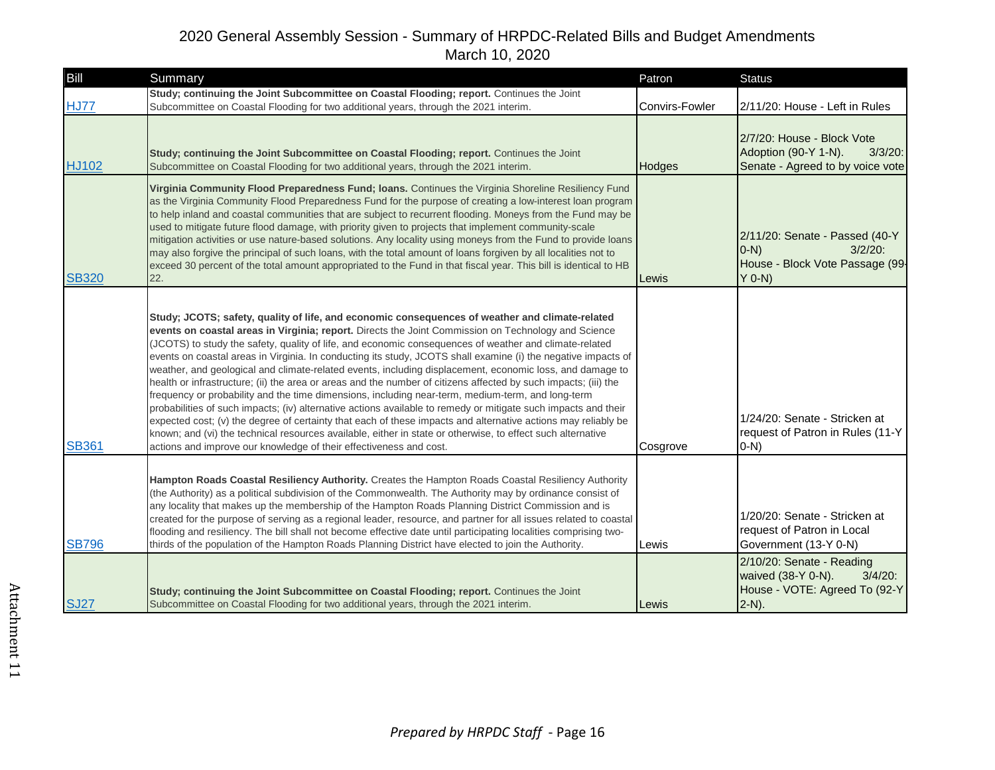| Bill         | Summary                                                                                                                                                                                                                                                                                                                                                                                                                                                                                                                                                                                                                                                                                                                                                                                                                                                                                                                                                                                                                                                                                                                                                                                       | Patron         | <b>Status</b>                                                                                              |
|--------------|-----------------------------------------------------------------------------------------------------------------------------------------------------------------------------------------------------------------------------------------------------------------------------------------------------------------------------------------------------------------------------------------------------------------------------------------------------------------------------------------------------------------------------------------------------------------------------------------------------------------------------------------------------------------------------------------------------------------------------------------------------------------------------------------------------------------------------------------------------------------------------------------------------------------------------------------------------------------------------------------------------------------------------------------------------------------------------------------------------------------------------------------------------------------------------------------------|----------------|------------------------------------------------------------------------------------------------------------|
| <b>HJ77</b>  | Study; continuing the Joint Subcommittee on Coastal Flooding; report. Continues the Joint<br>Subcommittee on Coastal Flooding for two additional years, through the 2021 interim.                                                                                                                                                                                                                                                                                                                                                                                                                                                                                                                                                                                                                                                                                                                                                                                                                                                                                                                                                                                                             | Convirs-Fowler | 2/11/20: House - Left in Rules                                                                             |
| <b>HJ102</b> | Study; continuing the Joint Subcommittee on Coastal Flooding; report. Continues the Joint<br>Subcommittee on Coastal Flooding for two additional years, through the 2021 interim.                                                                                                                                                                                                                                                                                                                                                                                                                                                                                                                                                                                                                                                                                                                                                                                                                                                                                                                                                                                                             | Hodges         | 2/7/20: House - Block Vote<br>Adoption (90-Y 1-N).<br>$3/3/20$ :<br>Senate - Agreed to by voice vote       |
| <b>SB320</b> | Virginia Community Flood Preparedness Fund; Ioans. Continues the Virginia Shoreline Resiliency Fund<br>as the Virginia Community Flood Preparedness Fund for the purpose of creating a low-interest loan program<br>to help inland and coastal communities that are subject to recurrent flooding. Moneys from the Fund may be<br>used to mitigate future flood damage, with priority given to projects that implement community-scale<br>mitigation activities or use nature-based solutions. Any locality using moneys from the Fund to provide loans<br>may also forgive the principal of such loans, with the total amount of loans forgiven by all localities not to<br>exceed 30 percent of the total amount appropriated to the Fund in that fiscal year. This bill is identical to HB<br>22.                                                                                                                                                                                                                                                                                                                                                                                          | Lewis          | 2/11/20: Senate - Passed (40-Y<br>$(0-N)$<br>$3/2/20$ :<br>House - Block Vote Passage (99-<br>$Y$ 0-N)     |
| <b>SB361</b> | Study; JCOTS; safety, quality of life, and economic consequences of weather and climate-related<br>events on coastal areas in Virginia; report. Directs the Joint Commission on Technology and Science<br>(JCOTS) to study the safety, quality of life, and economic consequences of weather and climate-related<br>events on coastal areas in Virginia. In conducting its study, JCOTS shall examine (i) the negative impacts of<br>weather, and geological and climate-related events, including displacement, economic loss, and damage to<br>health or infrastructure; (ii) the area or areas and the number of citizens affected by such impacts; (iii) the<br>frequency or probability and the time dimensions, including near-term, medium-term, and long-term<br>probabilities of such impacts; (iv) alternative actions available to remedy or mitigate such impacts and their<br>expected cost; (v) the degree of certainty that each of these impacts and alternative actions may reliably be<br>known; and (vi) the technical resources available, either in state or otherwise, to effect such alternative<br>actions and improve our knowledge of their effectiveness and cost. | Cosgrove       | 1/24/20: Senate - Stricken at<br>request of Patron in Rules (11-Y<br>$O-N$                                 |
| <b>SB796</b> | Hampton Roads Coastal Resiliency Authority. Creates the Hampton Roads Coastal Resiliency Authority<br>(the Authority) as a political subdivision of the Commonwealth. The Authority may by ordinance consist of<br>any locality that makes up the membership of the Hampton Roads Planning District Commission and is<br>created for the purpose of serving as a regional leader, resource, and partner for all issues related to coastal<br>flooding and resiliency. The bill shall not become effective date until participating localities comprising two-<br>thirds of the population of the Hampton Roads Planning District have elected to join the Authority.                                                                                                                                                                                                                                                                                                                                                                                                                                                                                                                          | Lewis          | 1/20/20: Senate - Stricken at<br>request of Patron in Local<br>Government (13-Y 0-N)                       |
| <b>SJ27</b>  | Study; continuing the Joint Subcommittee on Coastal Flooding; report. Continues the Joint<br>Subcommittee on Coastal Flooding for two additional years, through the 2021 interim.                                                                                                                                                                                                                                                                                                                                                                                                                                                                                                                                                                                                                                                                                                                                                                                                                                                                                                                                                                                                             | Lewis          | 2/10/20: Senate - Reading<br>$3/4/20$ :<br>waived (38-Y 0-N).<br>House - VOTE: Agreed To (92-Y<br>$2-N$ ). |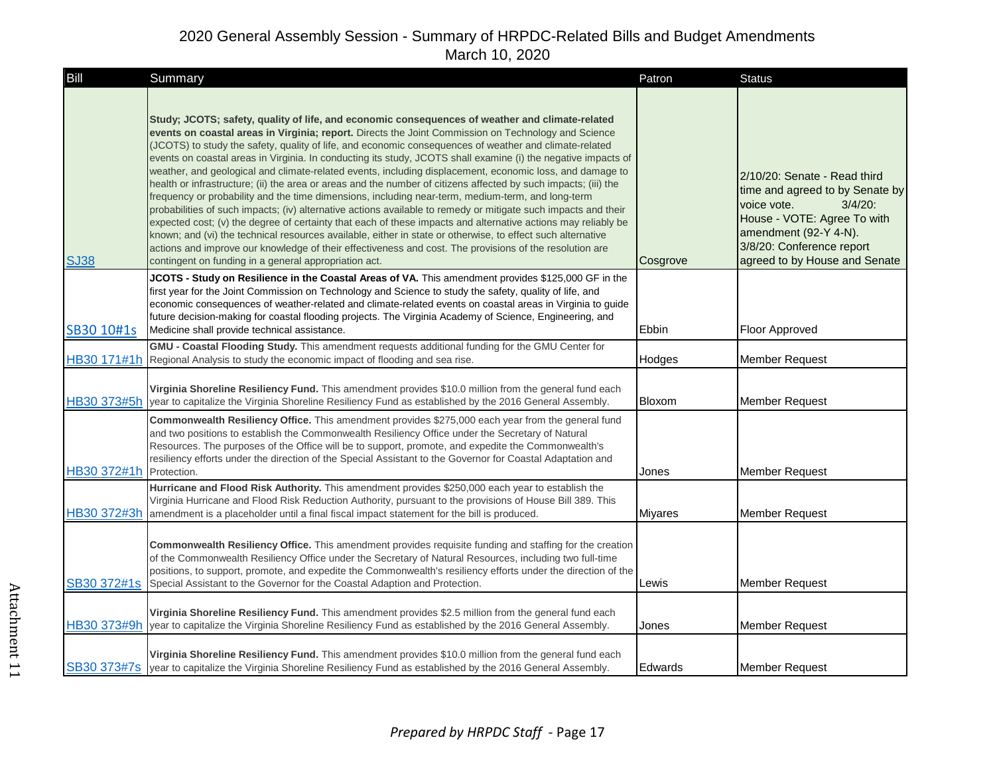| Bill                    | Summary                                                                                                                                                                                                                                                                                                                                                                                                                                                                                                                                                                                                                                                                                                                                                                                                                                                                                                                                                                                                                                                                                                                                                                                                                                                                                     | Patron         | <b>Status</b>                                                                                                                                                                                                      |
|-------------------------|---------------------------------------------------------------------------------------------------------------------------------------------------------------------------------------------------------------------------------------------------------------------------------------------------------------------------------------------------------------------------------------------------------------------------------------------------------------------------------------------------------------------------------------------------------------------------------------------------------------------------------------------------------------------------------------------------------------------------------------------------------------------------------------------------------------------------------------------------------------------------------------------------------------------------------------------------------------------------------------------------------------------------------------------------------------------------------------------------------------------------------------------------------------------------------------------------------------------------------------------------------------------------------------------|----------------|--------------------------------------------------------------------------------------------------------------------------------------------------------------------------------------------------------------------|
| <b>SJ38</b>             | Study; JCOTS; safety, quality of life, and economic consequences of weather and climate-related<br>events on coastal areas in Virginia; report. Directs the Joint Commission on Technology and Science<br>(JCOTS) to study the safety, quality of life, and economic consequences of weather and climate-related<br>events on coastal areas in Virginia. In conducting its study, JCOTS shall examine (i) the negative impacts of<br>weather, and geological and climate-related events, including displacement, economic loss, and damage to<br>health or infrastructure; (ii) the area or areas and the number of citizens affected by such impacts; (iii) the<br>frequency or probability and the time dimensions, including near-term, medium-term, and long-term<br>probabilities of such impacts; (iv) alternative actions available to remedy or mitigate such impacts and their<br>expected cost; (v) the degree of certainty that each of these impacts and alternative actions may reliably be<br>known; and (vi) the technical resources available, either in state or otherwise, to effect such alternative<br>actions and improve our knowledge of their effectiveness and cost. The provisions of the resolution are<br>contingent on funding in a general appropriation act. | Cosgrove       | 2/10/20: Senate - Read third<br>time and agreed to by Senate by<br>voice vote.<br>$3/4/20$ :<br>House - VOTE: Agree To with<br>amendment (92-Y 4-N).<br>3/8/20: Conference report<br>agreed to by House and Senate |
| SB30 10#1s              | JCOTS - Study on Resilience in the Coastal Areas of VA. This amendment provides \$125,000 GF in the<br>first year for the Joint Commission on Technology and Science to study the safety, quality of life, and<br>economic consequences of weather-related and climate-related events on coastal areas in Virginia to quide<br>future decision-making for coastal flooding projects. The Virginia Academy of Science, Engineering, and<br>Medicine shall provide technical assistance.                                                                                                                                                                                                                                                                                                                                                                                                                                                                                                                                                                                                                                                                                                                                                                                                      | Ebbin          | <b>Floor Approved</b>                                                                                                                                                                                              |
|                         | GMU - Coastal Flooding Study. This amendment requests additional funding for the GMU Center for<br>HB30 171#1h Regional Analysis to study the economic impact of flooding and sea rise.                                                                                                                                                                                                                                                                                                                                                                                                                                                                                                                                                                                                                                                                                                                                                                                                                                                                                                                                                                                                                                                                                                     | Hodges         | Member Request                                                                                                                                                                                                     |
| HB30 373#5h             | Virginia Shoreline Resiliency Fund. This amendment provides \$10.0 million from the general fund each<br>year to capitalize the Virginia Shoreline Resiliency Fund as established by the 2016 General Assembly.                                                                                                                                                                                                                                                                                                                                                                                                                                                                                                                                                                                                                                                                                                                                                                                                                                                                                                                                                                                                                                                                             | Bloxom         | <b>Member Request</b>                                                                                                                                                                                              |
| HB30 372#1h Protection. | Commonwealth Resiliency Office. This amendment provides \$275,000 each year from the general fund<br>and two positions to establish the Commonwealth Resiliency Office under the Secretary of Natural<br>Resources. The purposes of the Office will be to support, promote, and expedite the Commonwealth's<br>resiliency efforts under the direction of the Special Assistant to the Governor for Coastal Adaptation and                                                                                                                                                                                                                                                                                                                                                                                                                                                                                                                                                                                                                                                                                                                                                                                                                                                                   | Jones          | <b>Member Request</b>                                                                                                                                                                                              |
| HB30 372#3h             | Hurricane and Flood Risk Authority. This amendment provides \$250,000 each year to establish the<br>Virginia Hurricane and Flood Risk Reduction Authority, pursuant to the provisions of House Bill 389. This<br>amendment is a placeholder until a final fiscal impact statement for the bill is produced.                                                                                                                                                                                                                                                                                                                                                                                                                                                                                                                                                                                                                                                                                                                                                                                                                                                                                                                                                                                 | <b>Miyares</b> | Member Request                                                                                                                                                                                                     |
| SB30 372#1s             | Commonwealth Resiliency Office. This amendment provides requisite funding and staffing for the creation<br>of the Commonwealth Resiliency Office under the Secretary of Natural Resources, including two full-time<br>positions, to support, promote, and expedite the Commonwealth's resiliency efforts under the direction of the<br>Special Assistant to the Governor for the Coastal Adaption and Protection.                                                                                                                                                                                                                                                                                                                                                                                                                                                                                                                                                                                                                                                                                                                                                                                                                                                                           | Lewis          | Member Request                                                                                                                                                                                                     |
| HB30 373#9h             | Virginia Shoreline Resiliency Fund. This amendment provides \$2.5 million from the general fund each<br>year to capitalize the Virginia Shoreline Resiliency Fund as established by the 2016 General Assembly.                                                                                                                                                                                                                                                                                                                                                                                                                                                                                                                                                                                                                                                                                                                                                                                                                                                                                                                                                                                                                                                                              | Jones          | <b>Member Request</b>                                                                                                                                                                                              |
|                         | Virginia Shoreline Resiliency Fund. This amendment provides \$10.0 million from the general fund each<br>SB30 373#7s year to capitalize the Virginia Shoreline Resiliency Fund as established by the 2016 General Assembly.                                                                                                                                                                                                                                                                                                                                                                                                                                                                                                                                                                                                                                                                                                                                                                                                                                                                                                                                                                                                                                                                 | <b>Edwards</b> | Member Request                                                                                                                                                                                                     |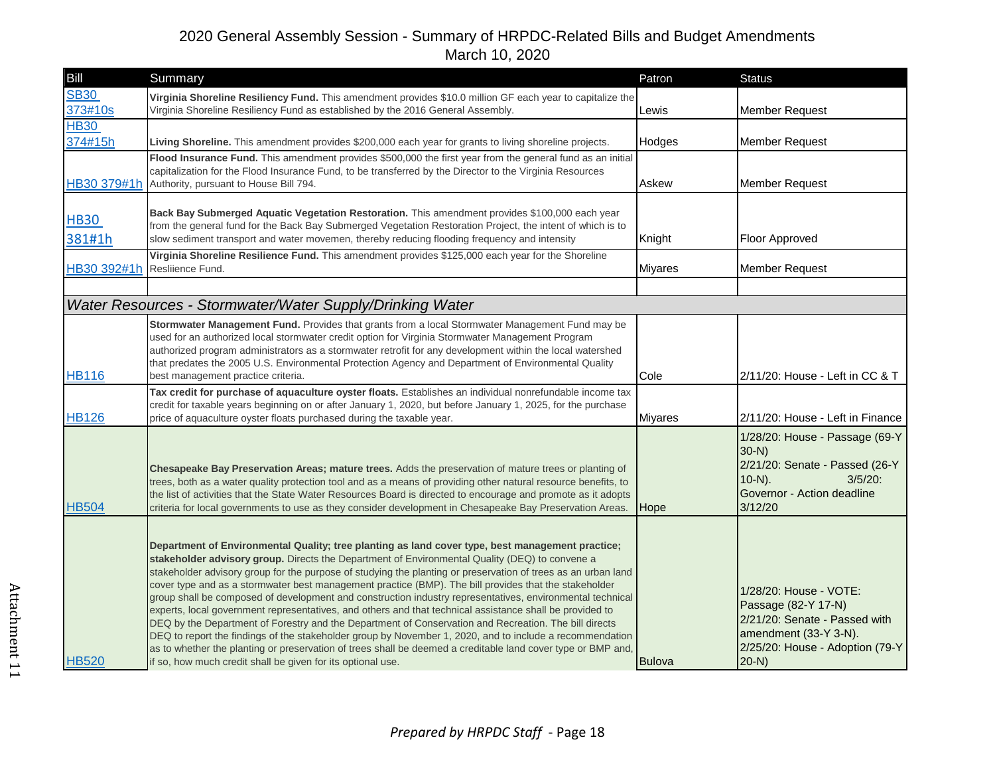| Bill                         | Summary                                                                                                                                                                                                                                                                                                                                                                                                                                                                                                                                                                                                                                                                                                                                                                                                                                                                                                                                                                                                                                                   | Patron         | <b>Status</b>                                                                                                                                        |
|------------------------------|-----------------------------------------------------------------------------------------------------------------------------------------------------------------------------------------------------------------------------------------------------------------------------------------------------------------------------------------------------------------------------------------------------------------------------------------------------------------------------------------------------------------------------------------------------------------------------------------------------------------------------------------------------------------------------------------------------------------------------------------------------------------------------------------------------------------------------------------------------------------------------------------------------------------------------------------------------------------------------------------------------------------------------------------------------------|----------------|------------------------------------------------------------------------------------------------------------------------------------------------------|
| <b>SB30</b><br>373#10s       | Virginia Shoreline Resiliency Fund. This amendment provides \$10.0 million GF each year to capitalize the<br>Virginia Shoreline Resiliency Fund as established by the 2016 General Assembly.                                                                                                                                                                                                                                                                                                                                                                                                                                                                                                                                                                                                                                                                                                                                                                                                                                                              | Lewis          | <b>Member Request</b>                                                                                                                                |
| <b>HB30</b><br>374#15h       | Living Shoreline. This amendment provides \$200,000 each year for grants to living shoreline projects.                                                                                                                                                                                                                                                                                                                                                                                                                                                                                                                                                                                                                                                                                                                                                                                                                                                                                                                                                    | Hodges         | <b>Member Request</b>                                                                                                                                |
| HB30 379#1h                  | Flood Insurance Fund. This amendment provides \$500,000 the first year from the general fund as an initial<br>capitalization for the Flood Insurance Fund, to be transferred by the Director to the Virginia Resources<br>Authority, pursuant to House Bill 794.                                                                                                                                                                                                                                                                                                                                                                                                                                                                                                                                                                                                                                                                                                                                                                                          | Askew          | <b>Member Request</b>                                                                                                                                |
| <b>HB30</b><br>381#1h        | Back Bay Submerged Aquatic Vegetation Restoration. This amendment provides \$100,000 each year<br>from the general fund for the Back Bay Submerged Vegetation Restoration Project, the intent of which is to<br>slow sediment transport and water movemen, thereby reducing flooding frequency and intensity                                                                                                                                                                                                                                                                                                                                                                                                                                                                                                                                                                                                                                                                                                                                              | Knight         | Floor Approved                                                                                                                                       |
| HB30 392#1h Resliience Fund. | Virginia Shoreline Resilience Fund. This amendment provides \$125,000 each year for the Shoreline                                                                                                                                                                                                                                                                                                                                                                                                                                                                                                                                                                                                                                                                                                                                                                                                                                                                                                                                                         | <b>Miyares</b> | <b>Member Request</b>                                                                                                                                |
|                              |                                                                                                                                                                                                                                                                                                                                                                                                                                                                                                                                                                                                                                                                                                                                                                                                                                                                                                                                                                                                                                                           |                |                                                                                                                                                      |
|                              | Water Resources - Stormwater/Water Supply/Drinking Water                                                                                                                                                                                                                                                                                                                                                                                                                                                                                                                                                                                                                                                                                                                                                                                                                                                                                                                                                                                                  |                |                                                                                                                                                      |
| <b>HB116</b>                 | Stormwater Management Fund. Provides that grants from a local Stormwater Management Fund may be<br>used for an authorized local stormwater credit option for Virginia Stormwater Management Program<br>authorized program administrators as a stormwater retrofit for any development within the local watershed<br>that predates the 2005 U.S. Environmental Protection Agency and Department of Environmental Quality<br>best management practice criteria.                                                                                                                                                                                                                                                                                                                                                                                                                                                                                                                                                                                             | Cole           | 2/11/20: House - Left in CC & T                                                                                                                      |
| <b>HB126</b>                 | Tax credit for purchase of aquaculture oyster floats. Establishes an individual nonrefundable income tax<br>credit for taxable years beginning on or after January 1, 2020, but before January 1, 2025, for the purchase<br>price of aquaculture oyster floats purchased during the taxable year.                                                                                                                                                                                                                                                                                                                                                                                                                                                                                                                                                                                                                                                                                                                                                         | <b>Miyares</b> | 2/11/20: House - Left in Finance                                                                                                                     |
| <b>HB504</b>                 | Chesapeake Bay Preservation Areas; mature trees. Adds the preservation of mature trees or planting of<br>trees, both as a water quality protection tool and as a means of providing other natural resource benefits, to<br>the list of activities that the State Water Resources Board is directed to encourage and promote as it adopts<br>criteria for local governments to use as they consider development in Chesapeake Bay Preservation Areas.                                                                                                                                                                                                                                                                                                                                                                                                                                                                                                                                                                                                      | <b>Hope</b>    | 1/28/20: House - Passage (69-Y<br>$30-N$<br>2/21/20: Senate - Passed (26-Y<br>$10-N$ ).<br>$3/5/20$ :<br>Governor - Action deadline<br>3/12/20       |
| <b>HB520</b>                 | Department of Environmental Quality; tree planting as land cover type, best management practice;<br>stakeholder advisory group. Directs the Department of Environmental Quality (DEQ) to convene a<br>stakeholder advisory group for the purpose of studying the planting or preservation of trees as an urban land<br>cover type and as a stormwater best management practice (BMP). The bill provides that the stakeholder<br>group shall be composed of development and construction industry representatives, environmental technical<br>experts, local government representatives, and others and that technical assistance shall be provided to<br>DEQ by the Department of Forestry and the Department of Conservation and Recreation. The bill directs<br>DEQ to report the findings of the stakeholder group by November 1, 2020, and to include a recommendation<br>as to whether the planting or preservation of trees shall be deemed a creditable land cover type or BMP and,<br>if so, how much credit shall be given for its optional use. | <b>Bulova</b>  | 1/28/20: House - VOTE:<br>Passage (82-Y 17-N)<br>2/21/20: Senate - Passed with<br>amendment (33-Y 3-N).<br>2/25/20: House - Adoption (79-Y<br>$20-N$ |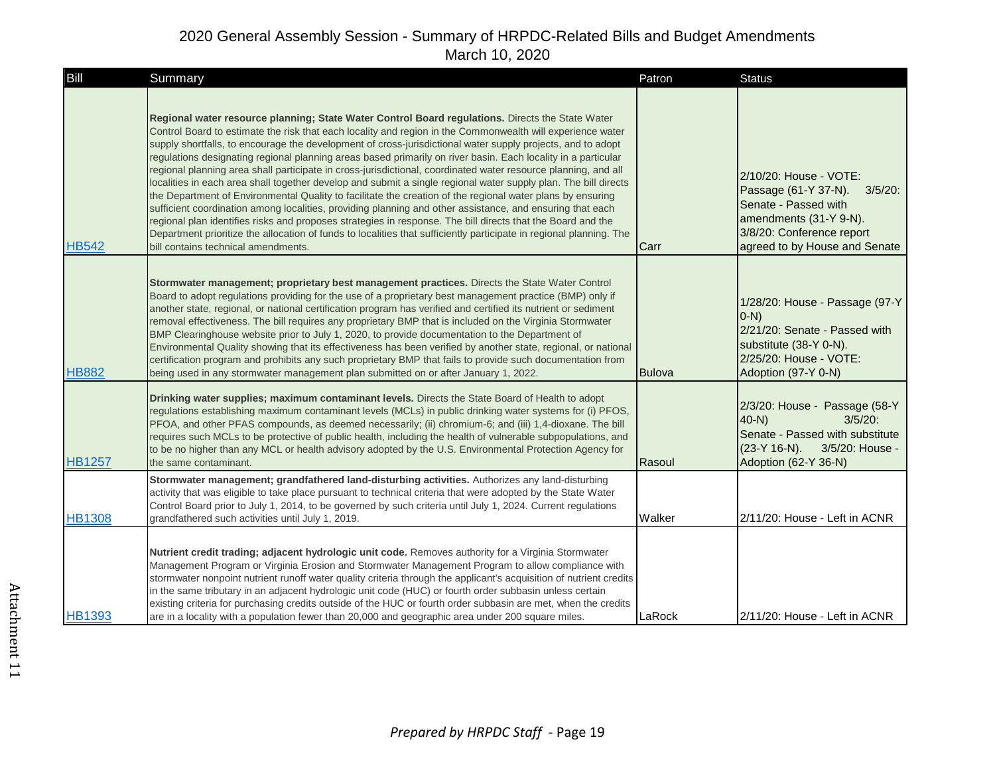| Bill          | Summary                                                                                                                                                                                                                                                                                                                                                                                                                                                                                                                                                                                                                                                                                                                                                                                                                                                                                                                                                                                                                                                                                                                                                                                     | Patron        | <b>Status</b>                                                                                                                                                                |
|---------------|---------------------------------------------------------------------------------------------------------------------------------------------------------------------------------------------------------------------------------------------------------------------------------------------------------------------------------------------------------------------------------------------------------------------------------------------------------------------------------------------------------------------------------------------------------------------------------------------------------------------------------------------------------------------------------------------------------------------------------------------------------------------------------------------------------------------------------------------------------------------------------------------------------------------------------------------------------------------------------------------------------------------------------------------------------------------------------------------------------------------------------------------------------------------------------------------|---------------|------------------------------------------------------------------------------------------------------------------------------------------------------------------------------|
| <b>HB542</b>  | Regional water resource planning; State Water Control Board regulations. Directs the State Water<br>Control Board to estimate the risk that each locality and region in the Commonwealth will experience water<br>supply shortfalls, to encourage the development of cross-jurisdictional water supply projects, and to adopt<br>regulations designating regional planning areas based primarily on river basin. Each locality in a particular<br>regional planning area shall participate in cross-jurisdictional, coordinated water resource planning, and all<br>localities in each area shall together develop and submit a single regional water supply plan. The bill directs<br>the Department of Environmental Quality to facilitate the creation of the regional water plans by ensuring<br>sufficient coordination among localities, providing planning and other assistance, and ensuring that each<br>regional plan identifies risks and proposes strategies in response. The bill directs that the Board and the<br>Department prioritize the allocation of funds to localities that sufficiently participate in regional planning. The<br>bill contains technical amendments. | Carr          | 2/10/20: House - VOTE:<br>Passage (61-Y 37-N).<br>$3/5/20$ :<br>Senate - Passed with<br>amendments (31-Y 9-N).<br>3/8/20: Conference report<br>agreed to by House and Senate |
| <b>HB882</b>  | Stormwater management; proprietary best management practices. Directs the State Water Control<br>Board to adopt regulations providing for the use of a proprietary best management practice (BMP) only if<br>another state, regional, or national certification program has verified and certified its nutrient or sediment<br>removal effectiveness. The bill requires any proprietary BMP that is included on the Virginia Stormwater<br>BMP Clearinghouse website prior to July 1, 2020, to provide documentation to the Department of<br>Environmental Quality showing that its effectiveness has been verified by another state, regional, or national<br>certification program and prohibits any such proprietary BMP that fails to provide such documentation from<br>being used in any stormwater management plan submitted on or after January 1, 2022.                                                                                                                                                                                                                                                                                                                            | <b>Bulova</b> | 1/28/20: House - Passage (97-Y<br>$(0-N)$<br>2/21/20: Senate - Passed with<br>substitute (38-Y 0-N).<br>2/25/20: House - VOTE:<br>Adoption (97-Y 0-N)                        |
| <b>HB1257</b> | Drinking water supplies; maximum contaminant levels. Directs the State Board of Health to adopt<br>regulations establishing maximum contaminant levels (MCLs) in public drinking water systems for (i) PFOS,<br>PFOA, and other PFAS compounds, as deemed necessarily; (ii) chromium-6; and (iii) 1,4-dioxane. The bill<br>requires such MCLs to be protective of public health, including the health of vulnerable subpopulations, and<br>to be no higher than any MCL or health advisory adopted by the U.S. Environmental Protection Agency for<br>the same contaminant.                                                                                                                                                                                                                                                                                                                                                                                                                                                                                                                                                                                                                 | Rasoul        | 2/3/20: House - Passage (58-Y<br>$40-N$<br>$3/5/20$ :<br>Senate - Passed with substitute<br>$(23-Y 16-N)$ .<br>3/5/20: House -<br>Adoption (62-Y 36-N)                       |
| <b>HB1308</b> | Stormwater management; grandfathered land-disturbing activities. Authorizes any land-disturbing<br>activity that was eligible to take place pursuant to technical criteria that were adopted by the State Water<br>Control Board prior to July 1, 2014, to be governed by such criteria until July 1, 2024. Current regulations<br>grandfathered such activities until July 1, 2019.                                                                                                                                                                                                                                                                                                                                                                                                                                                                                                                                                                                                                                                                                                                                                                                                        | Walker        | 2/11/20: House - Left in ACNR                                                                                                                                                |
| <b>HB1393</b> | Nutrient credit trading; adjacent hydrologic unit code. Removes authority for a Virginia Stormwater<br>Management Program or Virginia Erosion and Stormwater Management Program to allow compliance with<br>stormwater nonpoint nutrient runoff water quality criteria through the applicant's acquisition of nutrient credits<br>in the same tributary in an adjacent hydrologic unit code (HUC) or fourth order subbasin unless certain<br>existing criteria for purchasing credits outside of the HUC or fourth order subbasin are met, when the credits<br>are in a locality with a population fewer than 20,000 and geographic area under 200 square miles.                                                                                                                                                                                                                                                                                                                                                                                                                                                                                                                            | LaRock        | 2/11/20: House - Left in ACNR                                                                                                                                                |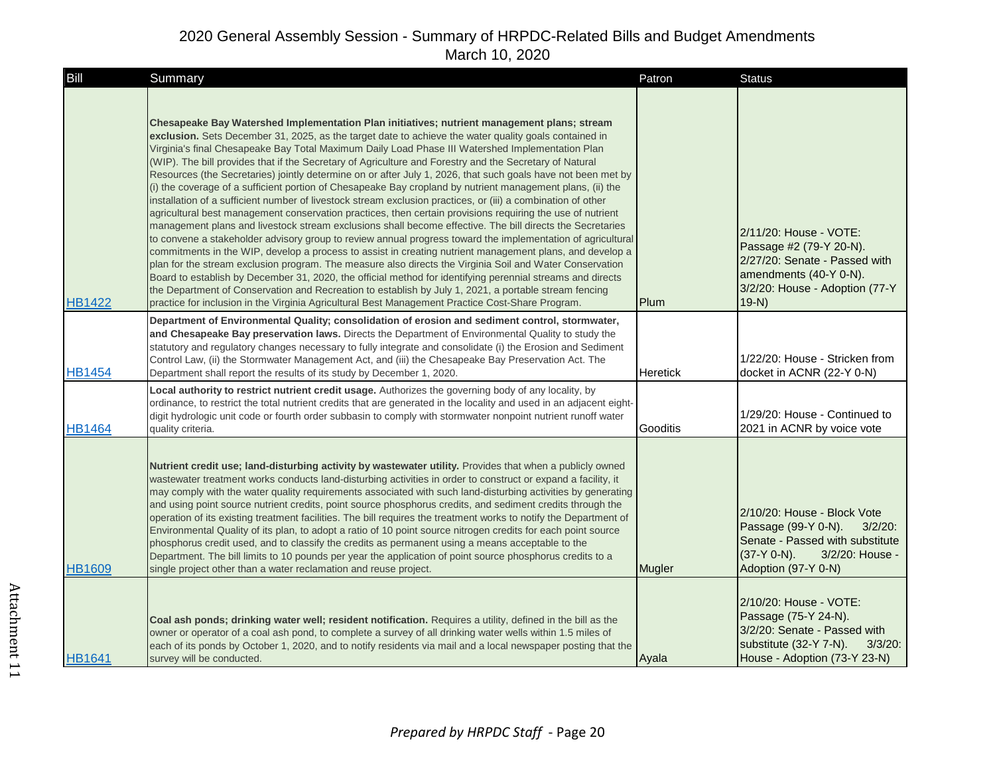| Bill          | Summary                                                                                                                                                                                                                                                                                                                                                                                                                                                                                                                                                                                                                                                                                                                                                                                                                                                                                                                                                                                                                                                                                                                                                                                                                                                                                                                                                                                                                                                                                                                                                                                                                                                        | Patron   | <b>Status</b>                                                                                                                                                   |
|---------------|----------------------------------------------------------------------------------------------------------------------------------------------------------------------------------------------------------------------------------------------------------------------------------------------------------------------------------------------------------------------------------------------------------------------------------------------------------------------------------------------------------------------------------------------------------------------------------------------------------------------------------------------------------------------------------------------------------------------------------------------------------------------------------------------------------------------------------------------------------------------------------------------------------------------------------------------------------------------------------------------------------------------------------------------------------------------------------------------------------------------------------------------------------------------------------------------------------------------------------------------------------------------------------------------------------------------------------------------------------------------------------------------------------------------------------------------------------------------------------------------------------------------------------------------------------------------------------------------------------------------------------------------------------------|----------|-----------------------------------------------------------------------------------------------------------------------------------------------------------------|
| <b>HB1422</b> | Chesapeake Bay Watershed Implementation Plan initiatives; nutrient management plans; stream<br>exclusion. Sets December 31, 2025, as the target date to achieve the water quality goals contained in<br>Virginia's final Chesapeake Bay Total Maximum Daily Load Phase III Watershed Implementation Plan<br>(WIP). The bill provides that if the Secretary of Agriculture and Forestry and the Secretary of Natural<br>Resources (the Secretaries) jointly determine on or after July 1, 2026, that such goals have not been met by<br>(i) the coverage of a sufficient portion of Chesapeake Bay cropland by nutrient management plans, (ii) the<br>installation of a sufficient number of livestock stream exclusion practices, or (iii) a combination of other<br>agricultural best management conservation practices, then certain provisions requiring the use of nutrient<br>management plans and livestock stream exclusions shall become effective. The bill directs the Secretaries<br>to convene a stakeholder advisory group to review annual progress toward the implementation of agricultural<br>commitments in the WIP, develop a process to assist in creating nutrient management plans, and develop a<br>plan for the stream exclusion program. The measure also directs the Virginia Soil and Water Conservation<br>Board to establish by December 31, 2020, the official method for identifying perennial streams and directs<br>the Department of Conservation and Recreation to establish by July 1, 2021, a portable stream fencing<br>practice for inclusion in the Virginia Agricultural Best Management Practice Cost-Share Program. | Plum     | 2/11/20: House - VOTE:<br>Passage #2 (79-Y 20-N).<br>2/27/20: Senate - Passed with<br>amendments (40-Y 0-N).<br>3/2/20: House - Adoption (77-Y<br>$19-N$        |
| <b>HB1454</b> | Department of Environmental Quality; consolidation of erosion and sediment control, stormwater,<br>and Chesapeake Bay preservation laws. Directs the Department of Environmental Quality to study the<br>statutory and regulatory changes necessary to fully integrate and consolidate (i) the Erosion and Sediment<br>Control Law, (ii) the Stormwater Management Act, and (iii) the Chesapeake Bay Preservation Act. The<br>Department shall report the results of its study by December 1, 2020.                                                                                                                                                                                                                                                                                                                                                                                                                                                                                                                                                                                                                                                                                                                                                                                                                                                                                                                                                                                                                                                                                                                                                            | Heretick | 1/22/20: House - Stricken from<br>docket in ACNR (22-Y 0-N)                                                                                                     |
| <b>HB1464</b> | Local authority to restrict nutrient credit usage. Authorizes the governing body of any locality, by<br>ordinance, to restrict the total nutrient credits that are generated in the locality and used in an adjacent eight-<br>digit hydrologic unit code or fourth order subbasin to comply with stormwater nonpoint nutrient runoff water<br>quality criteria.                                                                                                                                                                                                                                                                                                                                                                                                                                                                                                                                                                                                                                                                                                                                                                                                                                                                                                                                                                                                                                                                                                                                                                                                                                                                                               | Gooditis | 1/29/20: House - Continued to<br>2021 in ACNR by voice vote                                                                                                     |
| <b>HB1609</b> | Nutrient credit use; land-disturbing activity by wastewater utility. Provides that when a publicly owned<br>wastewater treatment works conducts land-disturbing activities in order to construct or expand a facility, it<br>may comply with the water quality requirements associated with such land-disturbing activities by generating<br>and using point source nutrient credits, point source phosphorus credits, and sediment credits through the<br>operation of its existing treatment facilities. The bill requires the treatment works to notify the Department of<br>Environmental Quality of its plan, to adopt a ratio of 10 point source nitrogen credits for each point source<br>phosphorus credit used, and to classify the credits as permanent using a means acceptable to the<br>Department. The bill limits to 10 pounds per year the application of point source phosphorus credits to a<br>single project other than a water reclamation and reuse project.                                                                                                                                                                                                                                                                                                                                                                                                                                                                                                                                                                                                                                                                             | Mugler   | 2/10/20: House - Block Vote<br>Passage (99-Y 0-N).<br>$3/2/20$ :<br>Senate - Passed with substitute<br>$(37-Y 0-N)$ .<br>3/2/20: House -<br>Adoption (97-Y 0-N) |
| <b>HB1641</b> | Coal ash ponds; drinking water well; resident notification. Requires a utility, defined in the bill as the<br>owner or operator of a coal ash pond, to complete a survey of all drinking water wells within 1.5 miles of<br>each of its ponds by October 1, 2020, and to notify residents via mail and a local newspaper posting that the<br>survey will be conducted.                                                                                                                                                                                                                                                                                                                                                                                                                                                                                                                                                                                                                                                                                                                                                                                                                                                                                                                                                                                                                                                                                                                                                                                                                                                                                         | Ayala    | 2/10/20: House - VOTE:<br>Passage (75-Y 24-N).<br>3/2/20: Senate - Passed with<br>substitute (32-Y 7-N).<br>$3/3/20$ :<br>House - Adoption (73-Y 23-N)          |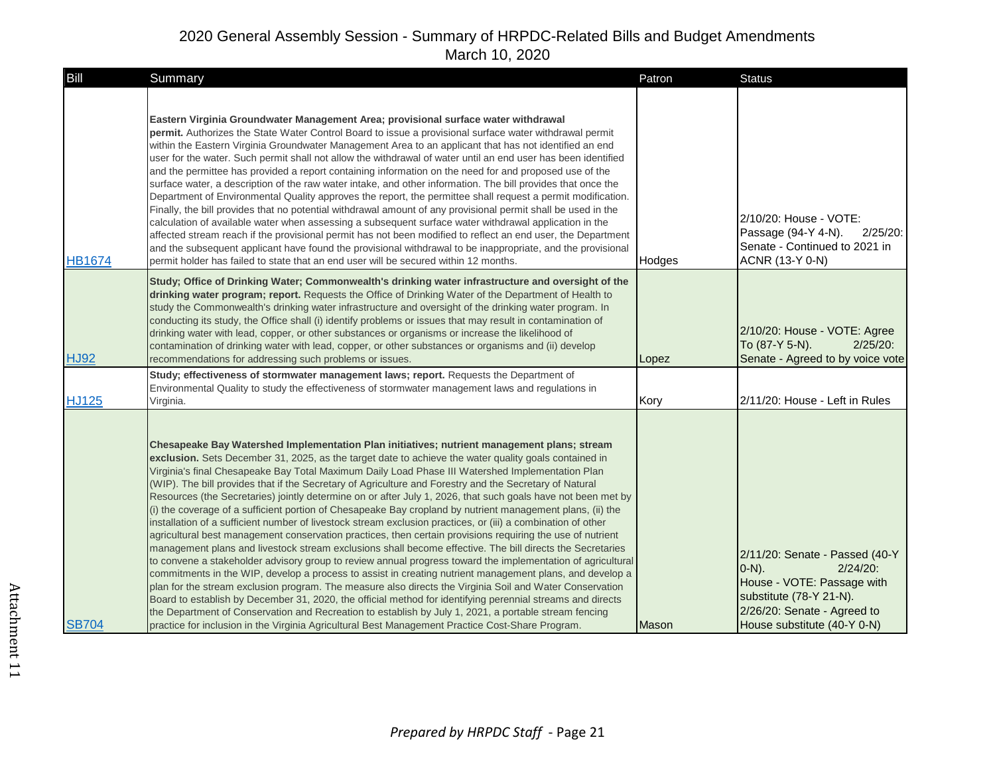| <b>Bill</b>   | Summary                                                                                                                                                                                                                                                                                                                                                                                                                                                                                                                                                                                                                                                                                                                                                                                                                                                                                                                                                                                                                                                                                                                                                                                                                                                                                                                                                                                                                                                                                                                                                                                                                                                        | Patron       | <b>Status</b>                                                                                                                                                                    |
|---------------|----------------------------------------------------------------------------------------------------------------------------------------------------------------------------------------------------------------------------------------------------------------------------------------------------------------------------------------------------------------------------------------------------------------------------------------------------------------------------------------------------------------------------------------------------------------------------------------------------------------------------------------------------------------------------------------------------------------------------------------------------------------------------------------------------------------------------------------------------------------------------------------------------------------------------------------------------------------------------------------------------------------------------------------------------------------------------------------------------------------------------------------------------------------------------------------------------------------------------------------------------------------------------------------------------------------------------------------------------------------------------------------------------------------------------------------------------------------------------------------------------------------------------------------------------------------------------------------------------------------------------------------------------------------|--------------|----------------------------------------------------------------------------------------------------------------------------------------------------------------------------------|
| <b>HB1674</b> | Eastern Virginia Groundwater Management Area; provisional surface water withdrawal<br>permit. Authorizes the State Water Control Board to issue a provisional surface water withdrawal permit<br>within the Eastern Virginia Groundwater Management Area to an applicant that has not identified an end<br>user for the water. Such permit shall not allow the withdrawal of water until an end user has been identified<br>and the permittee has provided a report containing information on the need for and proposed use of the<br>surface water, a description of the raw water intake, and other information. The bill provides that once the<br>Department of Environmental Quality approves the report, the permittee shall request a permit modification.<br>Finally, the bill provides that no potential withdrawal amount of any provisional permit shall be used in the<br>calculation of available water when assessing a subsequent surface water withdrawal application in the<br>affected stream reach if the provisional permit has not been modified to reflect an end user, the Department<br>and the subsequent applicant have found the provisional withdrawal to be inappropriate, and the provisional<br>permit holder has failed to state that an end user will be secured within 12 months.                                                                                                                                                                                                                                                                                                                                            | Hodges       | 2/10/20: House - VOTE:<br>Passage (94-Y 4-N).<br>$2/25/20$ :<br>Senate - Continued to 2021 in<br>ACNR (13-Y 0-N)                                                                 |
| <b>HJ92</b>   | Study; Office of Drinking Water; Commonwealth's drinking water infrastructure and oversight of the<br>drinking water program; report. Requests the Office of Drinking Water of the Department of Health to<br>study the Commonwealth's drinking water infrastructure and oversight of the drinking water program. In<br>conducting its study, the Office shall (i) identify problems or issues that may result in contamination of<br>drinking water with lead, copper, or other substances or organisms or increase the likelihood of<br>contamination of drinking water with lead, copper, or other substances or organisms and (ii) develop<br>recommendations for addressing such problems or issues.<br>Study; effectiveness of stormwater management laws; report. Requests the Department of                                                                                                                                                                                                                                                                                                                                                                                                                                                                                                                                                                                                                                                                                                                                                                                                                                                            | Lopez        | 2/10/20: House - VOTE: Agree<br>To (87-Y 5-N).<br>$2/25/20$ :<br>Senate - Agreed to by voice vote                                                                                |
| <b>HJ125</b>  | Environmental Quality to study the effectiveness of stormwater management laws and regulations in<br>Virginia.                                                                                                                                                                                                                                                                                                                                                                                                                                                                                                                                                                                                                                                                                                                                                                                                                                                                                                                                                                                                                                                                                                                                                                                                                                                                                                                                                                                                                                                                                                                                                 | Kory         | 2/11/20: House - Left in Rules                                                                                                                                                   |
| <b>SB704</b>  | Chesapeake Bay Watershed Implementation Plan initiatives; nutrient management plans; stream<br>exclusion. Sets December 31, 2025, as the target date to achieve the water quality goals contained in<br>Virginia's final Chesapeake Bay Total Maximum Daily Load Phase III Watershed Implementation Plan<br>(WIP). The bill provides that if the Secretary of Agriculture and Forestry and the Secretary of Natural<br>Resources (the Secretaries) jointly determine on or after July 1, 2026, that such goals have not been met by<br>(i) the coverage of a sufficient portion of Chesapeake Bay cropland by nutrient management plans, (ii) the<br>installation of a sufficient number of livestock stream exclusion practices, or (iii) a combination of other<br>agricultural best management conservation practices, then certain provisions requiring the use of nutrient<br>management plans and livestock stream exclusions shall become effective. The bill directs the Secretaries<br>to convene a stakeholder advisory group to review annual progress toward the implementation of agricultural<br>commitments in the WIP, develop a process to assist in creating nutrient management plans, and develop a<br>plan for the stream exclusion program. The measure also directs the Virginia Soil and Water Conservation<br>Board to establish by December 31, 2020, the official method for identifying perennial streams and directs<br>the Department of Conservation and Recreation to establish by July 1, 2021, a portable stream fencing<br>practice for inclusion in the Virginia Agricultural Best Management Practice Cost-Share Program. | <b>Mason</b> | 2/11/20: Senate - Passed (40-Y<br>$O-N$ ).<br>$2/24/20$ :<br>House - VOTE: Passage with<br>substitute (78-Y 21-N).<br>2/26/20: Senate - Agreed to<br>House substitute (40-Y 0-N) |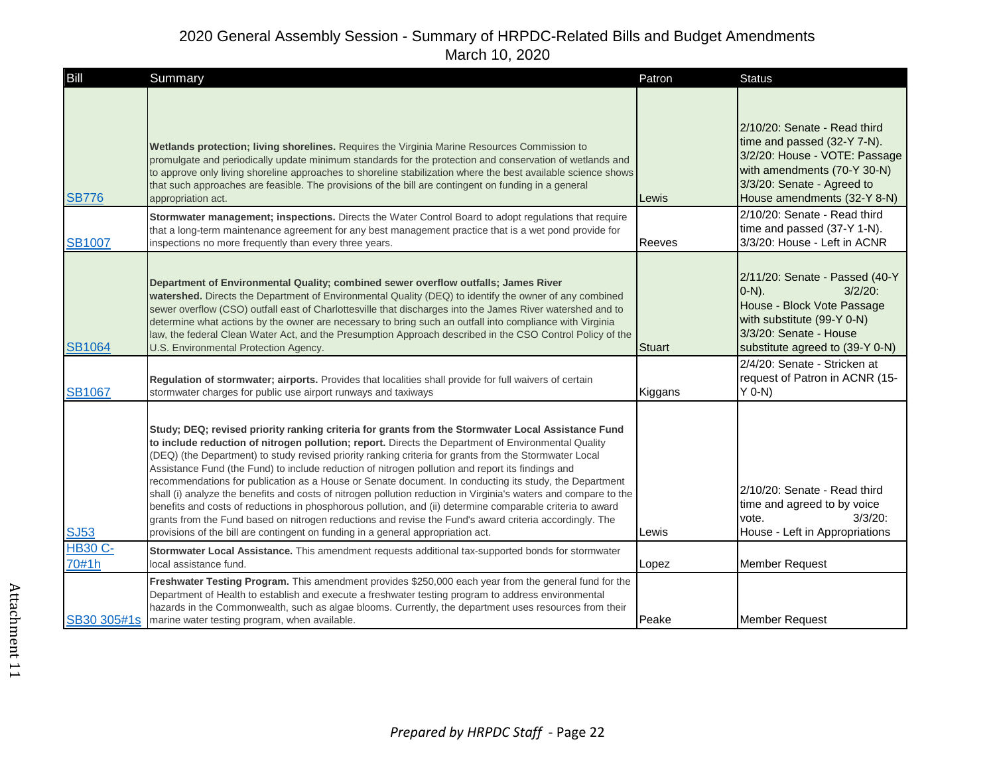| Bill                    | Summary                                                                                                                                                                                                                                                                                                                                                                                                                                                                                                                                                                                                                                                                                                                                                                                                                                                                                                                                                             | Patron        | <b>Status</b>                                                                                                                                                                            |
|-------------------------|---------------------------------------------------------------------------------------------------------------------------------------------------------------------------------------------------------------------------------------------------------------------------------------------------------------------------------------------------------------------------------------------------------------------------------------------------------------------------------------------------------------------------------------------------------------------------------------------------------------------------------------------------------------------------------------------------------------------------------------------------------------------------------------------------------------------------------------------------------------------------------------------------------------------------------------------------------------------|---------------|------------------------------------------------------------------------------------------------------------------------------------------------------------------------------------------|
| <b>SB776</b>            | Wetlands protection; living shorelines. Requires the Virginia Marine Resources Commission to<br>promulgate and periodically update minimum standards for the protection and conservation of wetlands and<br>to approve only living shoreline approaches to shoreline stabilization where the best available science shows<br>that such approaches are feasible. The provisions of the bill are contingent on funding in a general<br>appropriation act.                                                                                                                                                                                                                                                                                                                                                                                                                                                                                                             | Lewis         | 2/10/20: Senate - Read third<br>time and passed (32-Y 7-N).<br>3/2/20: House - VOTE: Passage<br>with amendments (70-Y 30-N)<br>3/3/20: Senate - Agreed to<br>House amendments (32-Y 8-N) |
| <b>SB1007</b>           | Stormwater management; inspections. Directs the Water Control Board to adopt regulations that require<br>that a long-term maintenance agreement for any best management practice that is a wet pond provide for<br>inspections no more frequently than every three years.                                                                                                                                                                                                                                                                                                                                                                                                                                                                                                                                                                                                                                                                                           | <b>Reeves</b> | 2/10/20: Senate - Read third<br>time and passed (37-Y 1-N).<br>3/3/20: House - Left in ACNR                                                                                              |
| <b>SB1064</b>           | Department of Environmental Quality; combined sewer overflow outfalls; James River<br>watershed. Directs the Department of Environmental Quality (DEQ) to identify the owner of any combined<br>sewer overflow (CSO) outfall east of Charlottesville that discharges into the James River watershed and to<br>determine what actions by the owner are necessary to bring such an outfall into compliance with Virginia<br>law, the federal Clean Water Act, and the Presumption Approach described in the CSO Control Policy of the<br>U.S. Environmental Protection Agency.                                                                                                                                                                                                                                                                                                                                                                                        | Stuart        | 2/11/20: Senate - Passed (40-Y<br>$3/2/20$ :<br>$(0-N)$ .<br>House - Block Vote Passage<br>with substitute (99-Y 0-N)<br>3/3/20: Senate - House<br>substitute agreed to (39-Y 0-N)       |
| <b>SB1067</b>           | Regulation of stormwater; airports. Provides that localities shall provide for full waivers of certain<br>stormwater charges for public use airport runways and taxiways                                                                                                                                                                                                                                                                                                                                                                                                                                                                                                                                                                                                                                                                                                                                                                                            | Kiggans       | 2/4/20: Senate - Stricken at<br>request of Patron in ACNR (15-<br>$Y$ 0-N)                                                                                                               |
| <b>SJ53</b>             | Study; DEQ; revised priority ranking criteria for grants from the Stormwater Local Assistance Fund<br>to include reduction of nitrogen pollution; report. Directs the Department of Environmental Quality<br>(DEQ) (the Department) to study revised priority ranking criteria for grants from the Stormwater Local<br>Assistance Fund (the Fund) to include reduction of nitrogen pollution and report its findings and<br>recommendations for publication as a House or Senate document. In conducting its study, the Department<br>shall (i) analyze the benefits and costs of nitrogen pollution reduction in Virginia's waters and compare to the<br>benefits and costs of reductions in phosphorous pollution, and (ii) determine comparable criteria to award<br>grants from the Fund based on nitrogen reductions and revise the Fund's award criteria accordingly. The<br>provisions of the bill are contingent on funding in a general appropriation act. | Lewis         | 2/10/20: Senate - Read third<br>time and agreed to by voice<br>$3/3/20$ :<br>vote.<br>House - Left in Appropriations                                                                     |
| <b>HB30 C-</b><br>70#1h | Stormwater Local Assistance. This amendment requests additional tax-supported bonds for stormwater<br>local assistance fund.                                                                                                                                                                                                                                                                                                                                                                                                                                                                                                                                                                                                                                                                                                                                                                                                                                        | Lopez         | <b>Member Request</b>                                                                                                                                                                    |
|                         | Freshwater Testing Program. This amendment provides \$250,000 each year from the general fund for the<br>Department of Health to establish and execute a freshwater testing program to address environmental<br>hazards in the Commonwealth, such as algae blooms. Currently, the department uses resources from their<br>SB30 305#1s marine water testing program, when available.                                                                                                                                                                                                                                                                                                                                                                                                                                                                                                                                                                                 | Peake         | Member Request                                                                                                                                                                           |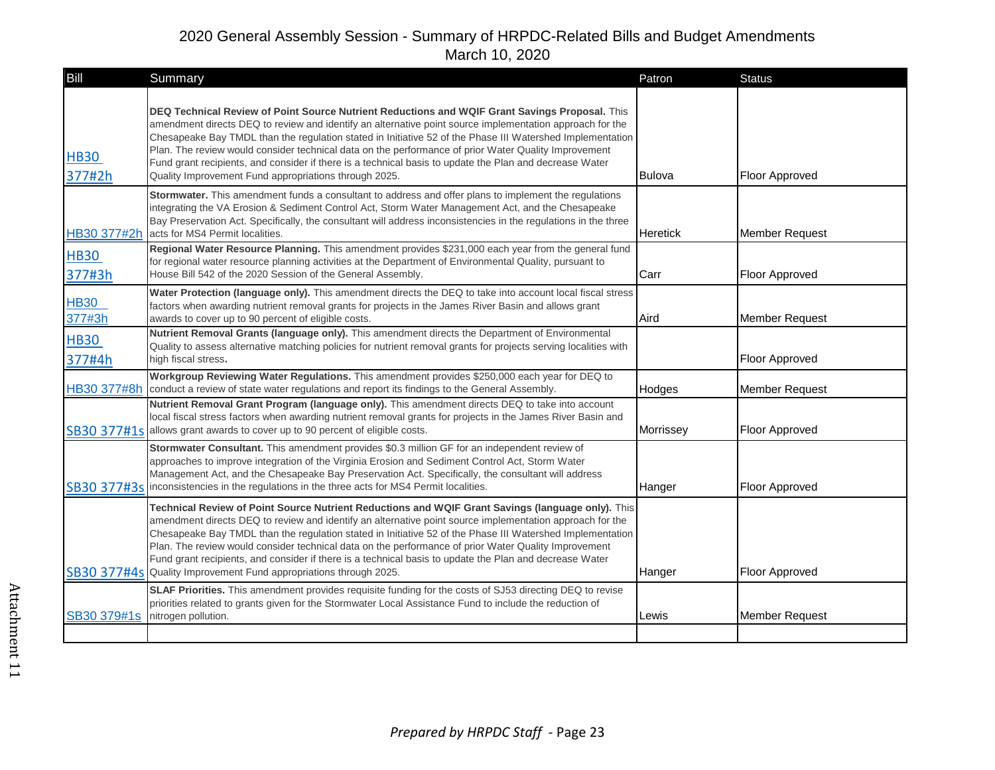| Bill                  | Summary                                                                                                                                                                                                                                                                                                                                                                                                                                                                                                                                                                                                            | Patron          | <b>Status</b>         |
|-----------------------|--------------------------------------------------------------------------------------------------------------------------------------------------------------------------------------------------------------------------------------------------------------------------------------------------------------------------------------------------------------------------------------------------------------------------------------------------------------------------------------------------------------------------------------------------------------------------------------------------------------------|-----------------|-----------------------|
| <b>HB30</b><br>377#2h | DEQ Technical Review of Point Source Nutrient Reductions and WQIF Grant Savings Proposal. This<br>amendment directs DEQ to review and identify an alternative point source implementation approach for the<br>Chesapeake Bay TMDL than the regulation stated in Initiative 52 of the Phase III Watershed Implementation<br>Plan. The review would consider technical data on the performance of prior Water Quality Improvement<br>Fund grant recipients, and consider if there is a technical basis to update the Plan and decrease Water<br>Quality Improvement Fund appropriations through 2025.                | Bulova          | <b>Floor Approved</b> |
| HB30 377#2h           | Stormwater. This amendment funds a consultant to address and offer plans to implement the regulations<br>integrating the VA Erosion & Sediment Control Act, Storm Water Management Act, and the Chesapeake<br>Bay Preservation Act. Specifically, the consultant will address inconsistencies in the regulations in the three<br>acts for MS4 Permit localities.                                                                                                                                                                                                                                                   | <b>Heretick</b> | <b>Member Request</b> |
| <b>HB30</b><br>377#3h | Regional Water Resource Planning. This amendment provides \$231,000 each year from the general fund<br>for regional water resource planning activities at the Department of Environmental Quality, pursuant to<br>House Bill 542 of the 2020 Session of the General Assembly.                                                                                                                                                                                                                                                                                                                                      | Carr            | Floor Approved        |
| <b>HB30</b><br>377#3h | Water Protection (language only). This amendment directs the DEQ to take into account local fiscal stress<br>factors when awarding nutrient removal grants for projects in the James River Basin and allows grant<br>awards to cover up to 90 percent of eligible costs.                                                                                                                                                                                                                                                                                                                                           | Aird            | Member Request        |
| <b>HB30</b><br>377#4h | Nutrient Removal Grants (language only). This amendment directs the Department of Environmental<br>Quality to assess alternative matching policies for nutrient removal grants for projects serving localities with<br>high fiscal stress.                                                                                                                                                                                                                                                                                                                                                                         |                 | <b>Floor Approved</b> |
|                       | Workgroup Reviewing Water Regulations. This amendment provides \$250,000 each year for DEQ to<br>HB30 377#8h conduct a review of state water regulations and report its findings to the General Assembly.                                                                                                                                                                                                                                                                                                                                                                                                          | Hodges          | <b>Member Request</b> |
|                       | Nutrient Removal Grant Program (language only). This amendment directs DEQ to take into account<br>local fiscal stress factors when awarding nutrient removal grants for projects in the James River Basin and<br>SB30 377#1s allows grant awards to cover up to 90 percent of eligible costs.                                                                                                                                                                                                                                                                                                                     | Morrissey       | Floor Approved        |
|                       | Stormwater Consultant. This amendment provides \$0.3 million GF for an independent review of<br>approaches to improve integration of the Virginia Erosion and Sediment Control Act, Storm Water<br>Management Act, and the Chesapeake Bay Preservation Act. Specifically, the consultant will address<br>SB30 377#3s inconsistencies in the regulations in the three acts for MS4 Permit localities.                                                                                                                                                                                                               | Hanger          | Floor Approved        |
|                       | Technical Review of Point Source Nutrient Reductions and WQIF Grant Savings (language only). This<br>amendment directs DEQ to review and identify an alternative point source implementation approach for the<br>Chesapeake Bay TMDL than the regulation stated in Initiative 52 of the Phase III Watershed Implementation<br>Plan. The review would consider technical data on the performance of prior Water Quality Improvement<br>Fund grant recipients, and consider if there is a technical basis to update the Plan and decrease Water<br>SB30 377#4s Quality Improvement Fund appropriations through 2025. | Hanger          | Floor Approved        |
| SB30 379#1s           | SLAF Priorities. This amendment provides requisite funding for the costs of SJ53 directing DEQ to revise<br>priorities related to grants given for the Stormwater Local Assistance Fund to include the reduction of<br>nitrogen pollution.                                                                                                                                                                                                                                                                                                                                                                         | Lewis           | <b>Member Request</b> |
|                       |                                                                                                                                                                                                                                                                                                                                                                                                                                                                                                                                                                                                                    |                 |                       |